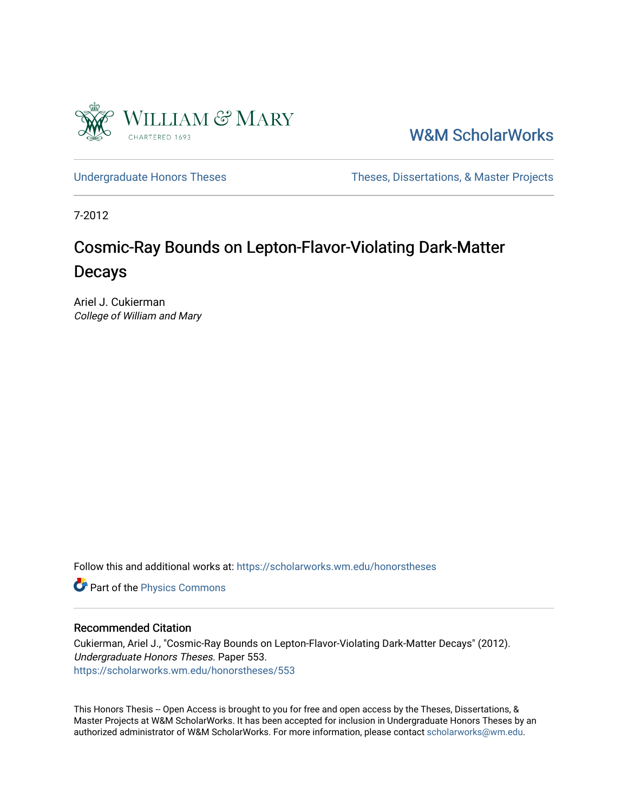

[W&M ScholarWorks](https://scholarworks.wm.edu/) 

[Undergraduate Honors Theses](https://scholarworks.wm.edu/honorstheses) Theses Theses, Dissertations, & Master Projects

7-2012

#### Cosmic-Ray Bounds on Lepton-Flavor-Violating Dark-Matter Decays

Ariel J. Cukierman College of William and Mary

Follow this and additional works at: [https://scholarworks.wm.edu/honorstheses](https://scholarworks.wm.edu/honorstheses?utm_source=scholarworks.wm.edu%2Fhonorstheses%2F553&utm_medium=PDF&utm_campaign=PDFCoverPages) 

**Part of the [Physics Commons](http://network.bepress.com/hgg/discipline/193?utm_source=scholarworks.wm.edu%2Fhonorstheses%2F553&utm_medium=PDF&utm_campaign=PDFCoverPages)** 

#### Recommended Citation

Cukierman, Ariel J., "Cosmic-Ray Bounds on Lepton-Flavor-Violating Dark-Matter Decays" (2012). Undergraduate Honors Theses. Paper 553. [https://scholarworks.wm.edu/honorstheses/553](https://scholarworks.wm.edu/honorstheses/553?utm_source=scholarworks.wm.edu%2Fhonorstheses%2F553&utm_medium=PDF&utm_campaign=PDFCoverPages) 

This Honors Thesis -- Open Access is brought to you for free and open access by the Theses, Dissertations, & Master Projects at W&M ScholarWorks. It has been accepted for inclusion in Undergraduate Honors Theses by an authorized administrator of W&M ScholarWorks. For more information, please contact [scholarworks@wm.edu](mailto:scholarworks@wm.edu).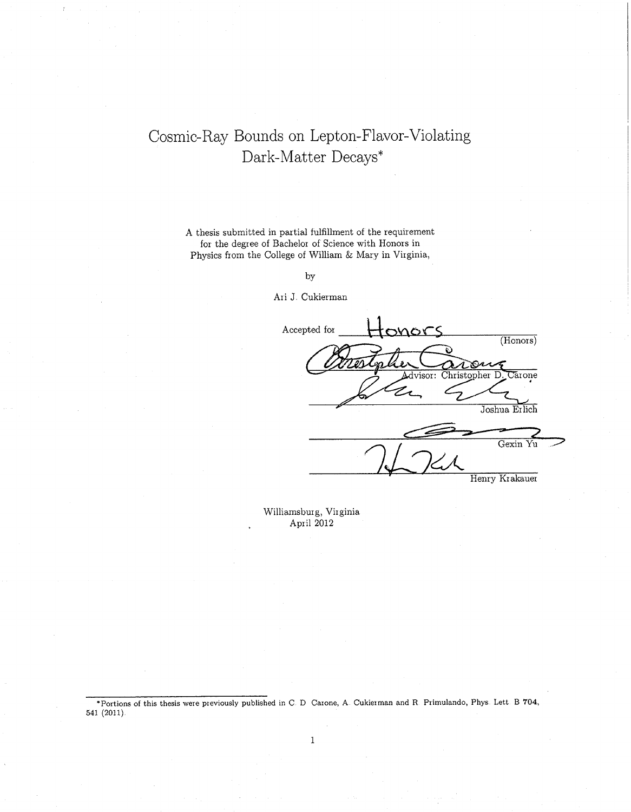#### Cosmic-Ray Bounds on Lepton-Flavor-Violating Dark-Matter Decays\*

A thesis submitted in partial fulfillment of the requirement for the degree of Bachelor of Science with Honors in Physics from the College of William & Mary in Virginia,

by

Ari J. Cukierman

Accepted for ONORS  $(Honors)$ Advisor: Christopher D  $\overline{\text{Carn}}$  $\mathcal{Z}{}$ r Joshua Erlich Gexin Yu Henry Krakauer

Williamsburg, Virginia April 2012

\*Portions of this thesis were previously published in C D Carone, A Cukierman and R Primulando, Phys. Lett B 704, 541 (2011).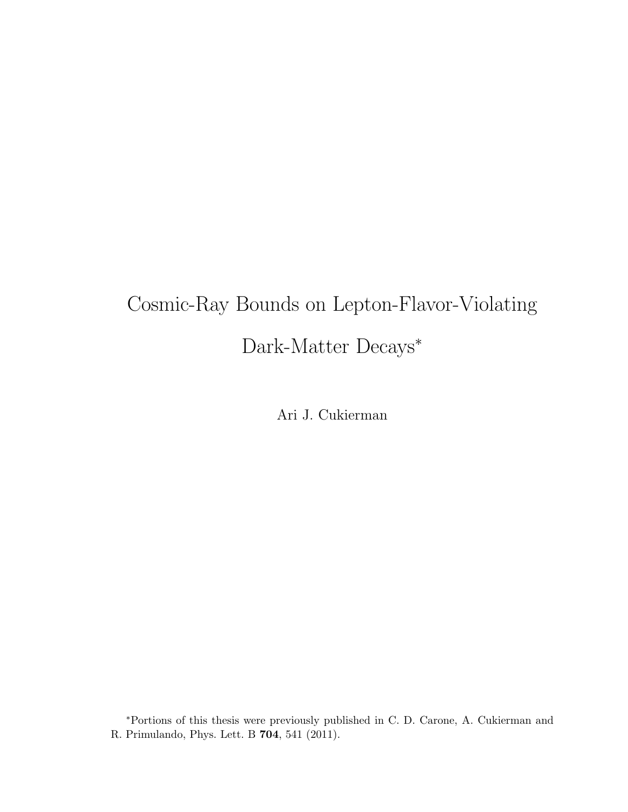# Cosmic-Ray Bounds on Lepton-Flavor-Violating Dark-Matter Decays<sup>∗</sup>

Ari J. Cukierman

<sup>∗</sup>Portions of this thesis were previously published in C. D. Carone, A. Cukierman and R. Primulando, Phys. Lett. B 704, 541 (2011).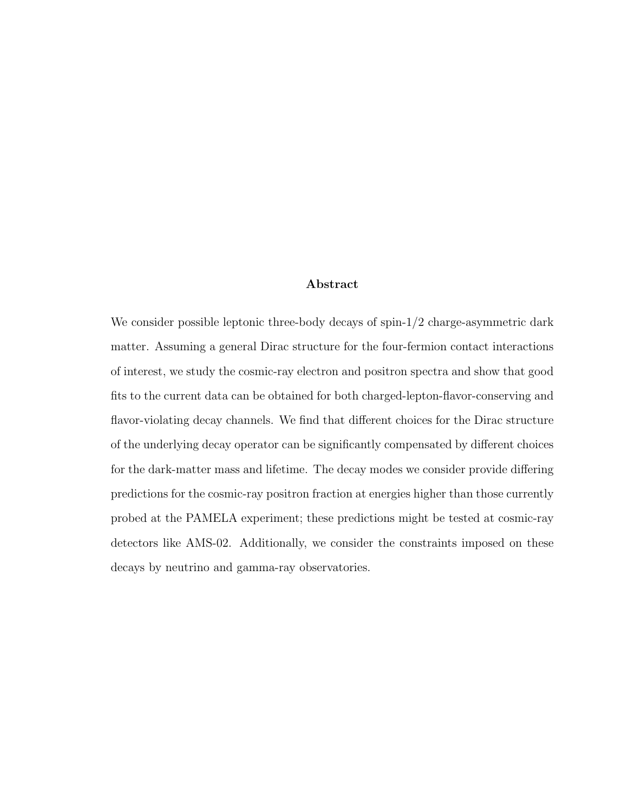#### Abstract

We consider possible leptonic three-body decays of spin- $1/2$  charge-asymmetric dark matter. Assuming a general Dirac structure for the four-fermion contact interactions of interest, we study the cosmic-ray electron and positron spectra and show that good fits to the current data can be obtained for both charged-lepton-flavor-conserving and flavor-violating decay channels. We find that different choices for the Dirac structure of the underlying decay operator can be significantly compensated by different choices for the dark-matter mass and lifetime. The decay modes we consider provide differing predictions for the cosmic-ray positron fraction at energies higher than those currently probed at the PAMELA experiment; these predictions might be tested at cosmic-ray detectors like AMS-02. Additionally, we consider the constraints imposed on these decays by neutrino and gamma-ray observatories.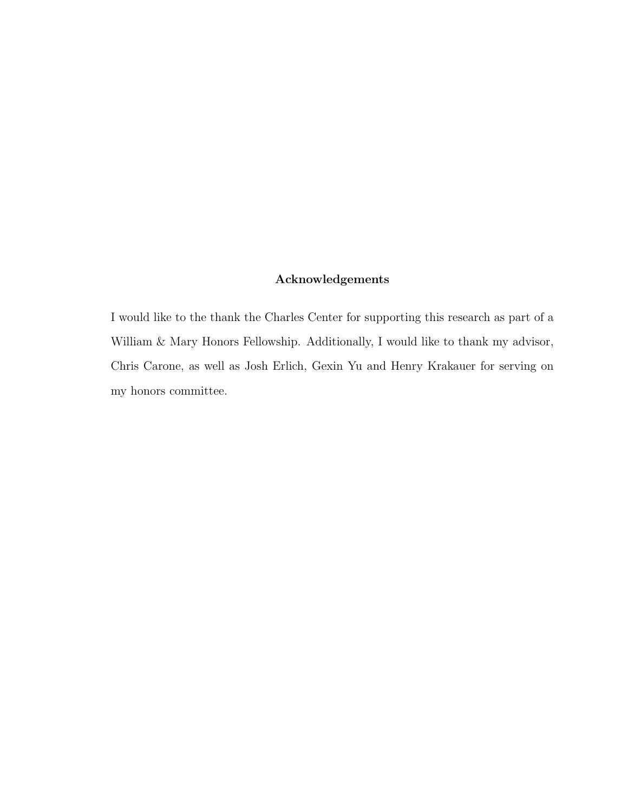#### Acknowledgements

I would like to the thank the Charles Center for supporting this research as part of a William & Mary Honors Fellowship. Additionally, I would like to thank my advisor, Chris Carone, as well as Josh Erlich, Gexin Yu and Henry Krakauer for serving on my honors committee.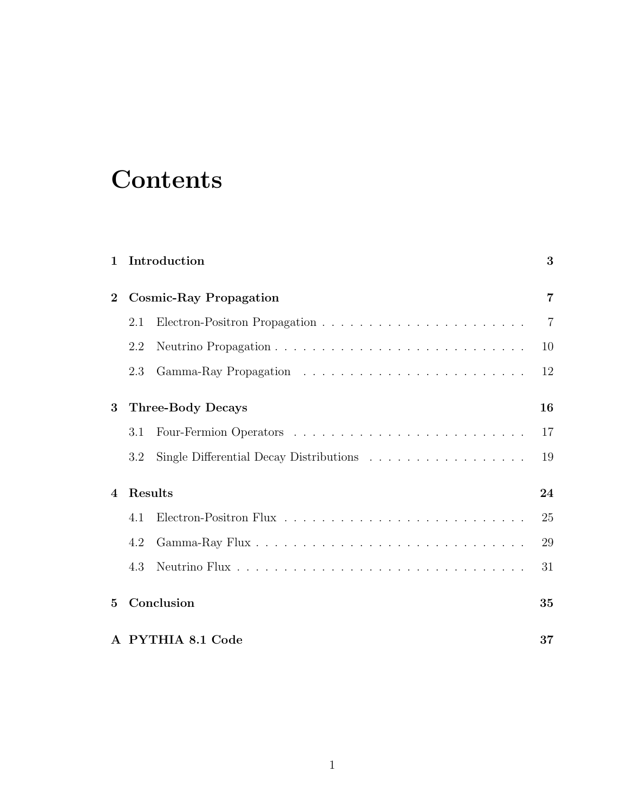## **Contents**

| $\mathbf{1}$                     | Introduction<br>3             |                                                                                     |                |
|----------------------------------|-------------------------------|-------------------------------------------------------------------------------------|----------------|
| $\overline{2}$                   | <b>Cosmic-Ray Propagation</b> |                                                                                     |                |
|                                  | 2.1                           |                                                                                     | $\overline{7}$ |
|                                  | 2.2                           |                                                                                     | 10             |
|                                  | 2.3                           |                                                                                     | 12             |
| 3                                | <b>Three-Body Decays</b>      |                                                                                     | 16             |
|                                  | 3.1                           |                                                                                     | 17             |
|                                  | 3.2                           | Single Differential Decay Distributions $\ldots \ldots \ldots \ldots \ldots \ldots$ | 19             |
| <b>Results</b><br>$\overline{4}$ |                               |                                                                                     | 24             |
|                                  | 4.1                           |                                                                                     | 25             |
|                                  | 4.2                           |                                                                                     | 29             |
|                                  | 4.3                           |                                                                                     | 31             |
| $5^{\circ}$                      | Conclusion                    |                                                                                     | 35             |
|                                  | A PYTHIA 8.1 Code             |                                                                                     |                |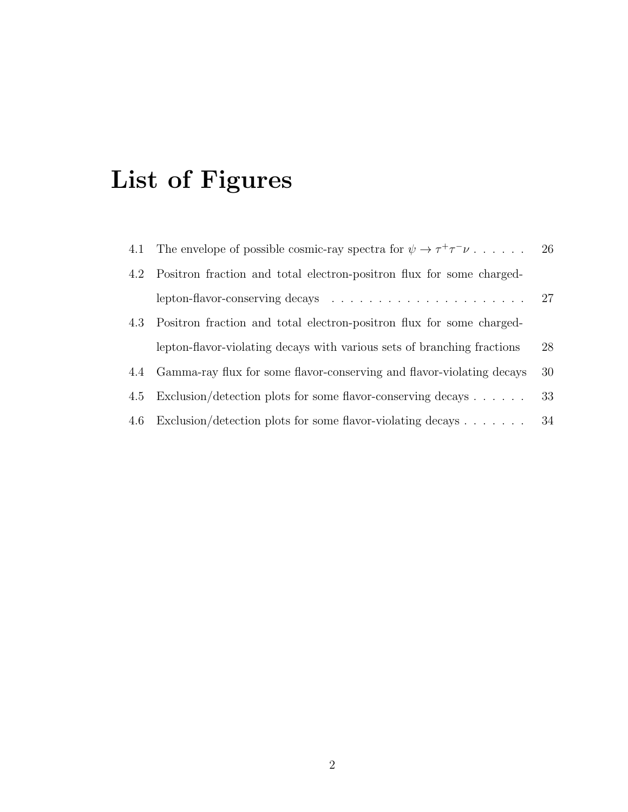# List of Figures

|     | 4.1 The envelope of possible cosmic-ray spectra for $\psi \to \tau^+ \tau^- \nu$<br>-26 |    |  |
|-----|-----------------------------------------------------------------------------------------|----|--|
|     | 4.2 Positron fraction and total electron-positron flux for some charged-                |    |  |
|     | lepton-flavor-conserving decays $\ldots \ldots \ldots \ldots \ldots \ldots \ldots 27$   |    |  |
|     | 4.3 Positron fraction and total electron-positron flux for some charged-                |    |  |
|     | lepton-flavor-violating decays with various sets of branching fractions                 | 28 |  |
| 4.4 | Gamma-ray flux for some flavor-conserving and flavor-violating decays                   |    |  |
|     | 4.5 Exclusion/detection plots for some flavor-conserving decays                         |    |  |
| 4.6 | Exclusion/detection plots for some flavor-violating decays $\dots \dots$                |    |  |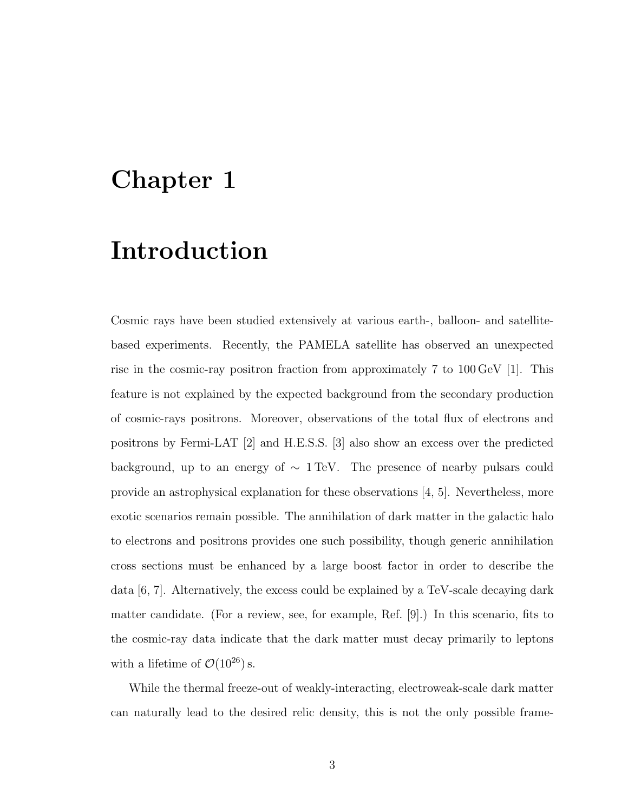### Chapter 1

## Introduction

Cosmic rays have been studied extensively at various earth-, balloon- and satellitebased experiments. Recently, the PAMELA satellite has observed an unexpected rise in the cosmic-ray positron fraction from approximately 7 to 100 GeV [1]. This feature is not explained by the expected background from the secondary production of cosmic-rays positrons. Moreover, observations of the total flux of electrons and positrons by Fermi-LAT [2] and H.E.S.S. [3] also show an excess over the predicted background, up to an energy of ∼ 1 TeV. The presence of nearby pulsars could provide an astrophysical explanation for these observations [4, 5]. Nevertheless, more exotic scenarios remain possible. The annihilation of dark matter in the galactic halo to electrons and positrons provides one such possibility, though generic annihilation cross sections must be enhanced by a large boost factor in order to describe the data [6, 7]. Alternatively, the excess could be explained by a TeV-scale decaying dark matter candidate. (For a review, see, for example, Ref. [9].) In this scenario, fits to the cosmic-ray data indicate that the dark matter must decay primarily to leptons with a lifetime of  $\mathcal{O}(10^{26})$  s.

While the thermal freeze-out of weakly-interacting, electroweak-scale dark matter can naturally lead to the desired relic density, this is not the only possible frame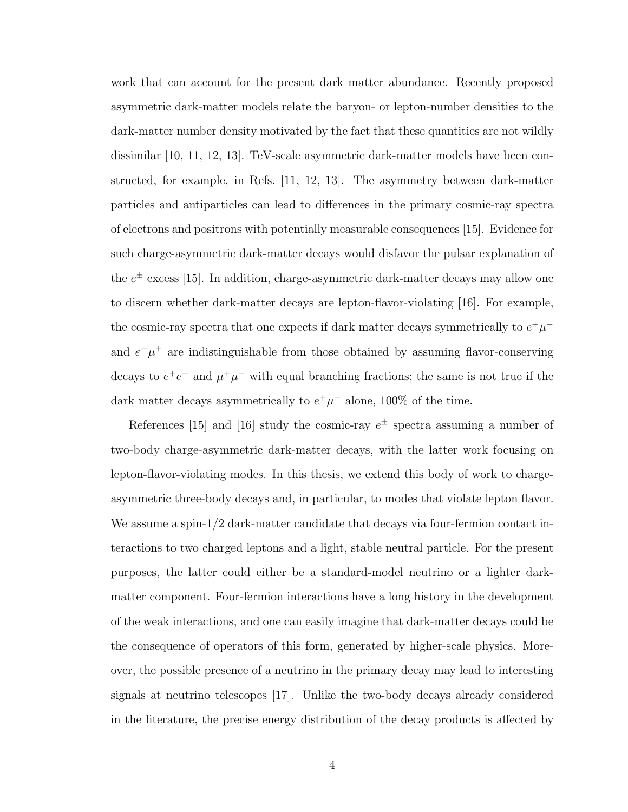work that can account for the present dark matter abundance. Recently proposed asymmetric dark-matter models relate the baryon- or lepton-number densities to the dark-matter number density motivated by the fact that these quantities are not wildly dissimilar [10, 11, 12, 13]. TeV-scale asymmetric dark-matter models have been constructed, for example, in Refs. [11, 12, 13]. The asymmetry between dark-matter particles and antiparticles can lead to differences in the primary cosmic-ray spectra of electrons and positrons with potentially measurable consequences [15]. Evidence for such charge-asymmetric dark-matter decays would disfavor the pulsar explanation of the  $e^{\pm}$  excess [15]. In addition, charge-asymmetric dark-matter decays may allow one to discern whether dark-matter decays are lepton-flavor-violating [16]. For example, the cosmic-ray spectra that one expects if dark matter decays symmetrically to  $e^+ \mu^$ and  $e^-\mu^+$  are indistinguishable from those obtained by assuming flavor-conserving decays to  $e^+e^-$  and  $\mu^+\mu^-$  with equal branching fractions; the same is not true if the dark matter decays asymmetrically to  $e^+\mu^-$  alone, 100% of the time.

References [15] and [16] study the cosmic-ray  $e^{\pm}$  spectra assuming a number of two-body charge-asymmetric dark-matter decays, with the latter work focusing on lepton-flavor-violating modes. In this thesis, we extend this body of work to chargeasymmetric three-body decays and, in particular, to modes that violate lepton flavor. We assume a spin- $1/2$  dark-matter candidate that decays via four-fermion contact interactions to two charged leptons and a light, stable neutral particle. For the present purposes, the latter could either be a standard-model neutrino or a lighter darkmatter component. Four-fermion interactions have a long history in the development of the weak interactions, and one can easily imagine that dark-matter decays could be the consequence of operators of this form, generated by higher-scale physics. Moreover, the possible presence of a neutrino in the primary decay may lead to interesting signals at neutrino telescopes [17]. Unlike the two-body decays already considered in the literature, the precise energy distribution of the decay products is affected by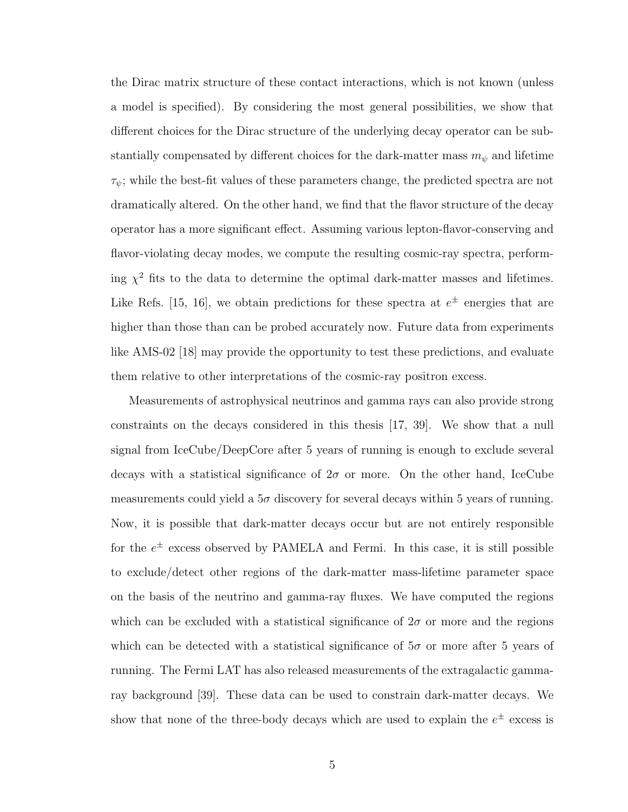the Dirac matrix structure of these contact interactions, which is not known (unless a model is specified). By considering the most general possibilities, we show that different choices for the Dirac structure of the underlying decay operator can be substantially compensated by different choices for the dark-matter mass  $m_{\psi}$  and lifetime  $\tau_\psi$ ; while the best-fit values of these parameters change, the predicted spectra are not dramatically altered. On the other hand, we find that the flavor structure of the decay operator has a more significant effect. Assuming various lepton-flavor-conserving and flavor-violating decay modes, we compute the resulting cosmic-ray spectra, performing  $\chi^2$  fits to the data to determine the optimal dark-matter masses and lifetimes. Like Refs. [15, 16], we obtain predictions for these spectra at  $e^{\pm}$  energies that are higher than those than can be probed accurately now. Future data from experiments like AMS-02 [18] may provide the opportunity to test these predictions, and evaluate them relative to other interpretations of the cosmic-ray positron excess.

Measurements of astrophysical neutrinos and gamma rays can also provide strong constraints on the decays considered in this thesis [17, 39]. We show that a null signal from IceCube/DeepCore after 5 years of running is enough to exclude several decays with a statistical significance of  $2\sigma$  or more. On the other hand, IceCube measurements could yield a  $5\sigma$  discovery for several decays within 5 years of running. Now, it is possible that dark-matter decays occur but are not entirely responsible for the  $e^{\pm}$  excess observed by PAMELA and Fermi. In this case, it is still possible to exclude/detect other regions of the dark-matter mass-lifetime parameter space on the basis of the neutrino and gamma-ray fluxes. We have computed the regions which can be excluded with a statistical significance of  $2\sigma$  or more and the regions which can be detected with a statistical significance of  $5\sigma$  or more after 5 years of running. The Fermi LAT has also released measurements of the extragalactic gammaray background [39]. These data can be used to constrain dark-matter decays. We show that none of the three-body decays which are used to explain the  $e^{\pm}$  excess is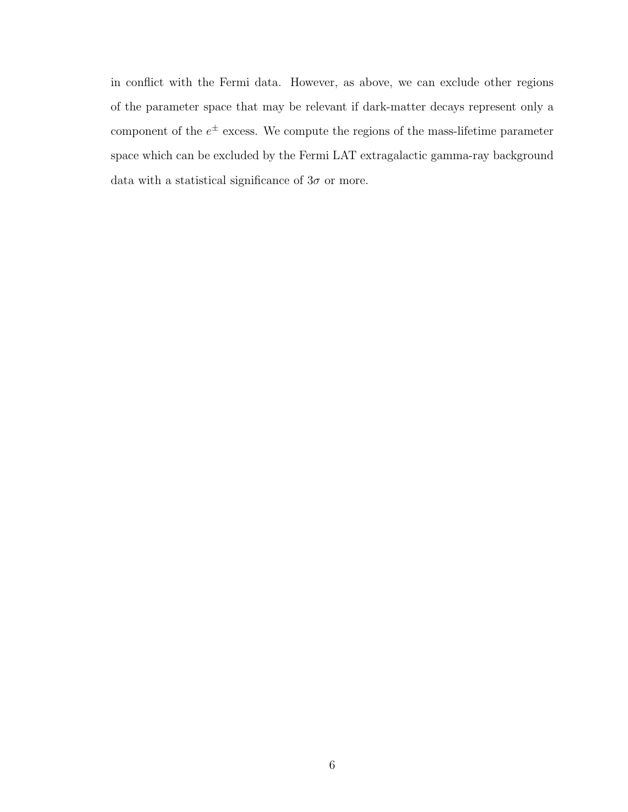in conflict with the Fermi data. However, as above, we can exclude other regions of the parameter space that may be relevant if dark-matter decays represent only a component of the  $e^{\pm}$  excess. We compute the regions of the mass-lifetime parameter space which can be excluded by the Fermi LAT extragalactic gamma-ray background data with a statistical significance of  $3\sigma$  or more.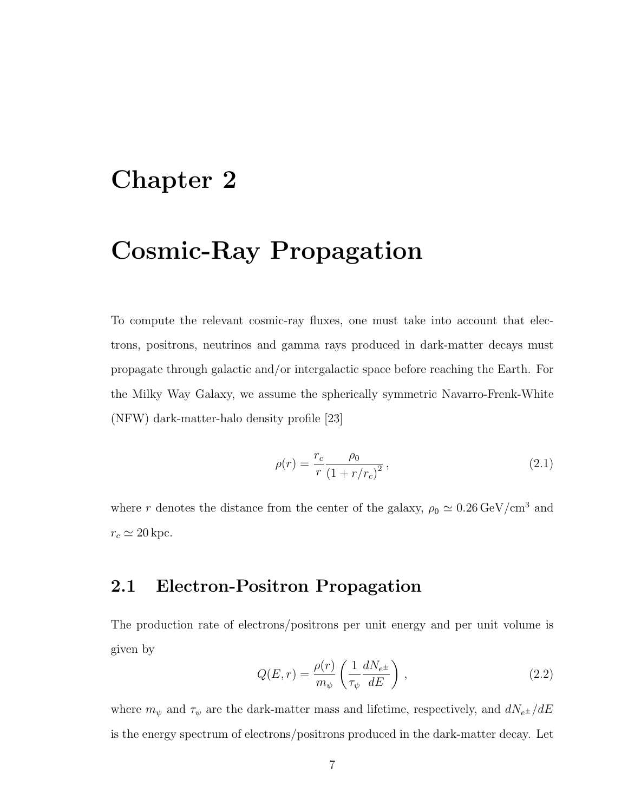### Chapter 2

### Cosmic-Ray Propagation

To compute the relevant cosmic-ray fluxes, one must take into account that electrons, positrons, neutrinos and gamma rays produced in dark-matter decays must propagate through galactic and/or intergalactic space before reaching the Earth. For the Milky Way Galaxy, we assume the spherically symmetric Navarro-Frenk-White (NFW) dark-matter-halo density profile [23]

$$
\rho(r) = \frac{r_c}{r} \frac{\rho_0}{(1 + r/r_c)^2},\tag{2.1}
$$

where r denotes the distance from the center of the galaxy,  $\rho_0 \simeq 0.26 \, \text{GeV}/\text{cm}^3$  and  $r_c \simeq 20$  kpc.

#### 2.1 Electron-Positron Propagation

The production rate of electrons/positrons per unit energy and per unit volume is given by

$$
Q(E,r) = \frac{\rho(r)}{m_{\psi}} \left(\frac{1}{\tau_{\psi}} \frac{dN_{e^{\pm}}}{dE}\right) ,
$$
 (2.2)

where  $m_{\psi}$  and  $\tau_{\psi}$  are the dark-matter mass and lifetime, respectively, and  $dN_{e^{\pm}}/dE$ is the energy spectrum of electrons/positrons produced in the dark-matter decay. Let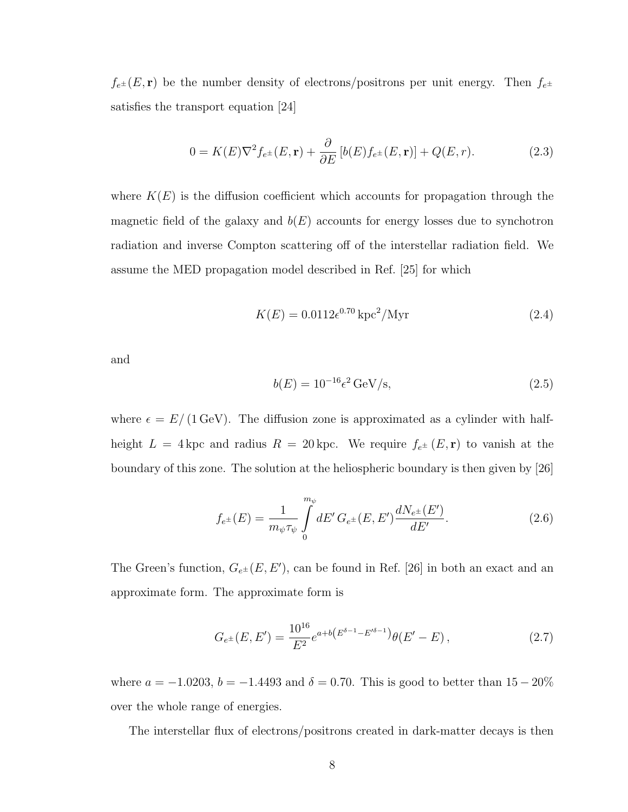$f_{e^{\pm}}(E, \mathbf{r})$  be the number density of electrons/positrons per unit energy. Then  $f_{e^{\pm}}$ satisfies the transport equation [24]

$$
0 = K(E)\nabla^2 f_{e^{\pm}}(E, \mathbf{r}) + \frac{\partial}{\partial E} \left[ b(E)f_{e^{\pm}}(E, \mathbf{r}) \right] + Q(E, r). \tag{2.3}
$$

where  $K(E)$  is the diffusion coefficient which accounts for propagation through the magnetic field of the galaxy and  $b(E)$  accounts for energy losses due to synchotron radiation and inverse Compton scattering off of the interstellar radiation field. We assume the MED propagation model described in Ref. [25] for which

$$
K(E) = 0.0112e^{0.70} \,\text{kpc}^2/\text{Myr}
$$
 (2.4)

and

$$
b(E) = 10^{-16} \epsilon^2 \,\text{GeV/s},\tag{2.5}
$$

where  $\epsilon = E/(1 \text{ GeV})$ . The diffusion zone is approximated as a cylinder with halfheight  $L = 4$  kpc and radius  $R = 20$  kpc. We require  $f_{e^{\pm}}(E, \mathbf{r})$  to vanish at the boundary of this zone. The solution at the heliospheric boundary is then given by [26]

$$
f_{e^{\pm}}(E) = \frac{1}{m_{\psi}\tau_{\psi}} \int_{0}^{m_{\psi}} dE' G_{e^{\pm}}(E, E') \frac{dN_{e^{\pm}}(E')}{dE'}.
$$
 (2.6)

The Green's function,  $G_{e^{\pm}}(E, E')$ , can be found in Ref. [26] in both an exact and an approximate form. The approximate form is

$$
G_{e^{\pm}}(E, E') = \frac{10^{16}}{E^2} e^{a+b(E^{\delta-1} - E'^{\delta-1})} \theta(E' - E) ,
$$
 (2.7)

where  $a = -1.0203$ ,  $b = -1.4493$  and  $\delta = 0.70$ . This is good to better than  $15 - 20\%$ over the whole range of energies.

The interstellar flux of electrons/positrons created in dark-matter decays is then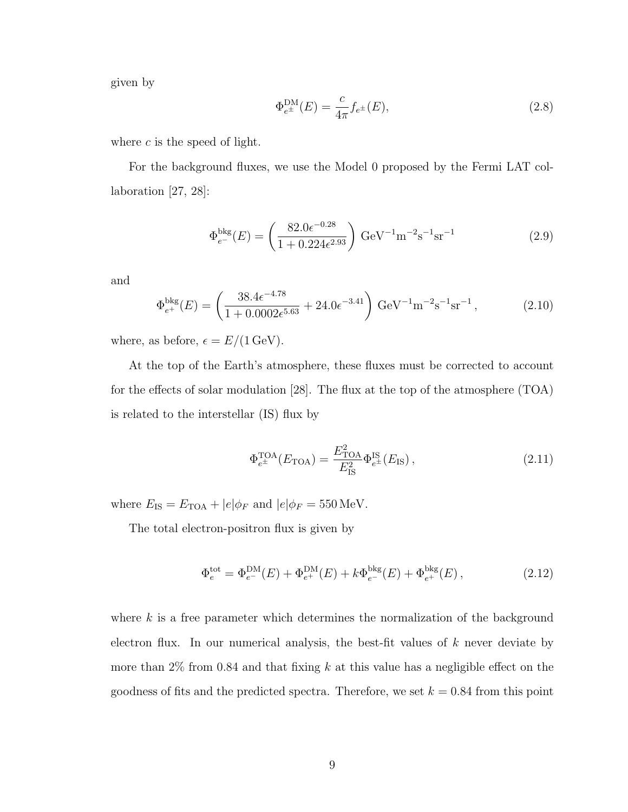given by

$$
\Phi_{e^{\pm}}^{\text{DM}}(E) = \frac{c}{4\pi} f_{e^{\pm}}(E),\tag{2.8}
$$

where  $c$  is the speed of light.

For the background fluxes, we use the Model 0 proposed by the Fermi LAT collaboration [27, 28]:

$$
\Phi_{e^-}^{\text{bkg}}(E) = \left(\frac{82.0e^{-0.28}}{1 + 0.224e^{2.93}}\right) \text{ GeV}^{-1} \text{m}^{-2} \text{s}^{-1} \text{sr}^{-1} \tag{2.9}
$$

and

$$
\Phi_{e^+}^{\text{bkg}}(E) = \left(\frac{38.4\epsilon^{-4.78}}{1 + 0.0002\epsilon^{5.63}} + 24.0\epsilon^{-3.41}\right) \,\text{GeV}^{-1}\text{m}^{-2}\text{s}^{-1}\text{sr}^{-1}\,,\tag{2.10}
$$

where, as before,  $\epsilon = E/(1 \,\text{GeV})$ .

At the top of the Earth's atmosphere, these fluxes must be corrected to account for the effects of solar modulation [28]. The flux at the top of the atmosphere (TOA) is related to the interstellar (IS) flux by

$$
\Phi_{e^{\pm}}^{\text{TOA}}(E_{\text{TOA}}) = \frac{E_{\text{TOA}}^2}{E_{\text{IS}}^2} \Phi_{e^{\pm}}^{\text{IS}}(E_{\text{IS}}),\tag{2.11}
$$

where  $E_{\rm IS} = E_{\rm TOA} + |e| \phi_F$  and  $|e| \phi_F = 550 \,\text{MeV}$ .

The total electron-positron flux is given by

$$
\Phi_e^{\text{tot}} = \Phi_{e^-}^{\text{DM}}(E) + \Phi_{e^+}^{\text{DM}}(E) + k\Phi_{e^-}^{\text{bkg}}(E) + \Phi_{e^+}^{\text{bkg}}(E) ,\qquad (2.12)
$$

where k is a free parameter which determines the normalization of the background electron flux. In our numerical analysis, the best-fit values of k never deviate by more than  $2\%$  from 0.84 and that fixing k at this value has a negligible effect on the goodness of fits and the predicted spectra. Therefore, we set  $k = 0.84$  from this point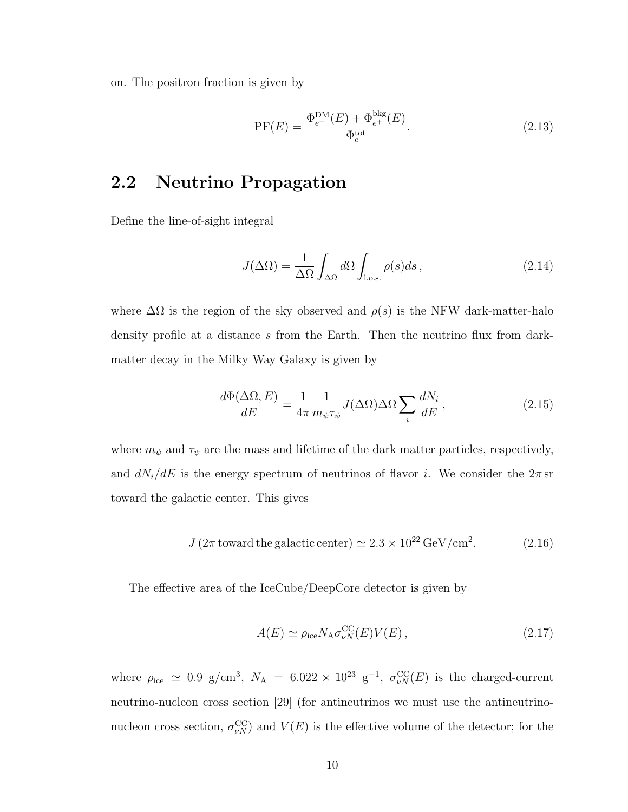on. The positron fraction is given by

$$
PF(E) = \frac{\Phi_{e^+}^{\text{DM}}(E) + \Phi_{e^+}^{\text{bkg}}(E)}{\Phi_e^{\text{tot}}}.
$$
\n(2.13)

#### 2.2 Neutrino Propagation

Define the line-of-sight integral

$$
J(\Delta\Omega) = \frac{1}{\Delta\Omega} \int_{\Delta\Omega} d\Omega \int_{\text{l.o.s.}} \rho(s)ds, \qquad (2.14)
$$

where  $\Delta\Omega$  is the region of the sky observed and  $\rho(s)$  is the NFW dark-matter-halo density profile at a distance s from the Earth. Then the neutrino flux from darkmatter decay in the Milky Way Galaxy is given by

$$
\frac{d\Phi(\Delta\Omega, E)}{dE} = \frac{1}{4\pi} \frac{1}{m_{\psi}\tau_{\psi}} J(\Delta\Omega) \Delta\Omega \sum_{i} \frac{dN_{i}}{dE},
$$
\n(2.15)

where  $m_\psi$  and  $\tau_\psi$  are the mass and lifetime of the dark matter particles, respectively, and  $dN_i/dE$  is the energy spectrum of neutrinos of flavor i. We consider the  $2\pi$  sr toward the galactic center. This gives

$$
J(2\pi \text{ toward the galactic center}) \simeq 2.3 \times 10^{22} \,\text{GeV/cm}^2. \tag{2.16}
$$

The effective area of the IceCube/DeepCore detector is given by

$$
A(E) \simeq \rho_{\rm ice} N_{\rm A} \sigma_{\nu N}^{\rm CC}(E) V(E) , \qquad (2.17)
$$

where  $\rho_{\text{ice}} \simeq 0.9 \text{ g/cm}^3$ ,  $N_A = 6.022 \times 10^{23} \text{ g}^{-1}$ ,  $\sigma_{\nu N}^{\text{CC}}(E)$  is the charged-current neutrino-nucleon cross section [29] (for antineutrinos we must use the antineutrinonucleon cross section,  $\sigma_{\bar{\nu}N}^{\rm CC}$  and  $V(E)$  is the effective volume of the detector; for the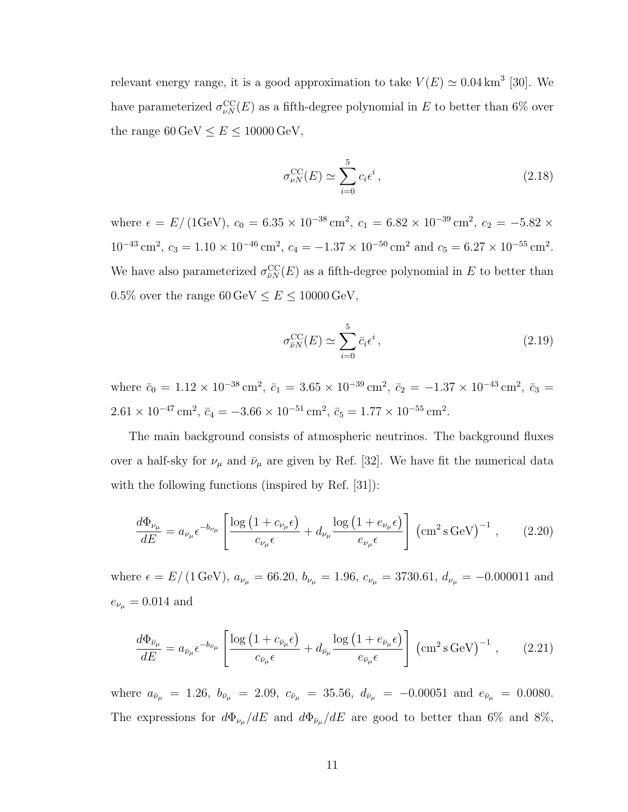relevant energy range, it is a good approximation to take  $V(E) \simeq 0.04 \text{ km}^3$  [30]. We have parameterized  $\sigma_{\nu N}^{\rm CC}(E)$  as a fifth-degree polynomial in E to better than 6% over the range  $60\,{\rm GeV}\leq E\leq 10000\,{\rm GeV},$ 

$$
\sigma_{\nu N}^{\rm CC}(E) \simeq \sum_{i=0}^{5} c_i \epsilon^i , \qquad (2.18)
$$

where  $\epsilon = E/(1 \text{GeV})$ ,  $c_0 = 6.35 \times 10^{-38} \text{ cm}^2$ ,  $c_1 = 6.82 \times 10^{-39} \text{ cm}^2$ ,  $c_2 = -5.82 \times$  $10^{-43} \text{ cm}^2$ ,  $c_3 = 1.10 \times 10^{-46} \text{ cm}^2$ ,  $c_4 = -1.37 \times 10^{-50} \text{ cm}^2$  and  $c_5 = 6.27 \times 10^{-55} \text{ cm}^2$ . We have also parameterized  $\sigma_{\bar{\nu}N}^{\rm CC}(E)$  as a fifth-degree polynomial in E to better than 0.5% over the range  $60 \,\mathrm{GeV} \leq E \leq 10000 \,\mathrm{GeV},$ 

$$
\sigma_{\bar{\nu}N}^{\rm CC}(E) \simeq \sum_{i=0}^{5} \bar{c}_i \epsilon^i , \qquad (2.19)
$$

where  $\bar{c}_0 = 1.12 \times 10^{-38} \text{ cm}^2$ ,  $\bar{c}_1 = 3.65 \times 10^{-39} \text{ cm}^2$ ,  $\bar{c}_2 = -1.37 \times 10^{-43} \text{ cm}^2$ ,  $\bar{c}_3 =$  $2.61 \times 10^{-47}$  cm<sup>2</sup>,  $\bar{c}_4 = -3.66 \times 10^{-51}$  cm<sup>2</sup>,  $\bar{c}_5 = 1.77 \times 10^{-55}$  cm<sup>2</sup>.

The main background consists of atmospheric neutrinos. The background fluxes over a half-sky for  $\nu_{\mu}$  and  $\bar{\nu}_{\mu}$  are given by Ref. [32]. We have fit the numerical data with the following functions (inspired by Ref. [31]):

$$
\frac{d\Phi_{\nu_{\mu}}}{dE} = a_{\nu_{\mu}} \epsilon^{-b_{\nu_{\mu}}} \left[ \frac{\log\left(1 + c_{\nu_{\mu}}\epsilon\right)}{c_{\nu_{\mu}}\epsilon} + d_{\nu_{\mu}} \frac{\log\left(1 + e_{\nu_{\mu}}\epsilon\right)}{e_{\nu_{\mu}}\epsilon} \right] \left(\text{cm}^2 \,\text{s GeV}\right)^{-1},\qquad(2.20)
$$

where  $\epsilon = E/(1 \text{ GeV})$ ,  $a_{\nu_{\mu}} = 66.20$ ,  $b_{\nu_{\mu}} = 1.96$ ,  $c_{\nu_{\mu}} = 3730.61$ ,  $d_{\nu_{\mu}} = -0.000011$  and  $e_{\nu_{\mu}} = 0.014$  and

$$
\frac{d\Phi_{\bar{\nu}_{\mu}}}{dE} = a_{\bar{\nu}_{\mu}} \epsilon^{-b_{\bar{\nu}_{\mu}}} \left[ \frac{\log\left(1 + c_{\bar{\nu}_{\mu}}\epsilon\right)}{c_{\bar{\nu}_{\mu}}\epsilon} + d_{\bar{\nu}_{\mu}} \frac{\log\left(1 + e_{\bar{\nu}_{\mu}}\epsilon\right)}{e_{\bar{\nu}_{\mu}}\epsilon} \right] \left(\text{cm}^2 \,\text{s GeV}\right)^{-1},\qquad(2.21)
$$

where  $a_{\bar{\nu}_{\mu}} = 1.26$ ,  $b_{\bar{\nu}_{\mu}} = 2.09$ ,  $c_{\bar{\nu}_{\mu}} = 35.56$ ,  $d_{\bar{\nu}_{\mu}} = -0.00051$  and  $e_{\bar{\nu}_{\mu}} = 0.0080$ . The expressions for  $d\Phi_{\nu_{\mu}}/dE$  and  $d\Phi_{\bar{\nu}_{\mu}}/dE$  are good to better than 6% and 8%,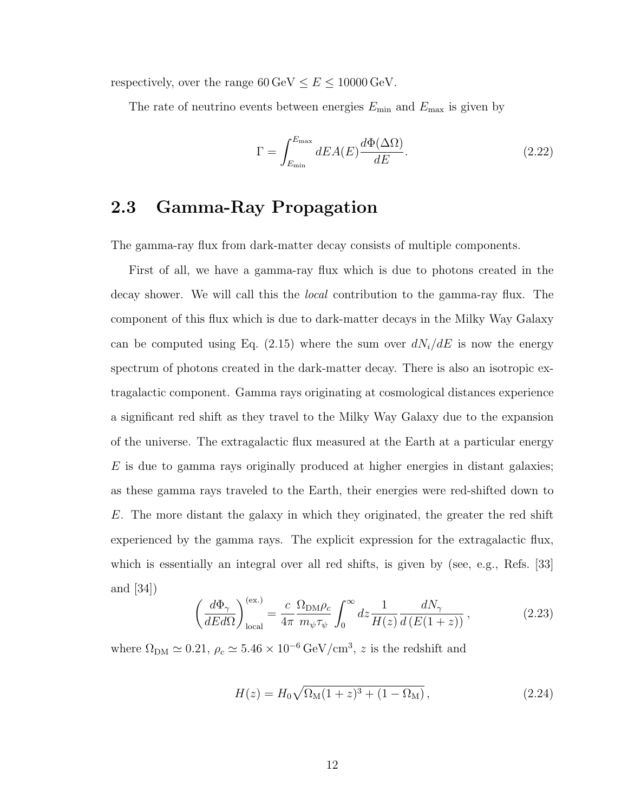respectively, over the range  $60 \,\text{GeV} \leq E \leq 10000 \,\text{GeV}$ .

The rate of neutrino events between energies  $E_{\text{min}}$  and  $E_{\text{max}}$  is given by

$$
\Gamma = \int_{E_{\text{min}}}^{E_{\text{max}}} dE A(E) \frac{d\Phi(\Delta \Omega)}{dE}.
$$
\n(2.22)

#### 2.3 Gamma-Ray Propagation

The gamma-ray flux from dark-matter decay consists of multiple components.

First of all, we have a gamma-ray flux which is due to photons created in the decay shower. We will call this the local contribution to the gamma-ray flux. The component of this flux which is due to dark-matter decays in the Milky Way Galaxy can be computed using Eq. (2.15) where the sum over  $dN_i/dE$  is now the energy spectrum of photons created in the dark-matter decay. There is also an isotropic extragalactic component. Gamma rays originating at cosmological distances experience a significant red shift as they travel to the Milky Way Galaxy due to the expansion of the universe. The extragalactic flux measured at the Earth at a particular energy  $E$  is due to gamma rays originally produced at higher energies in distant galaxies; as these gamma rays traveled to the Earth, their energies were red-shifted down to E. The more distant the galaxy in which they originated, the greater the red shift experienced by the gamma rays. The explicit expression for the extragalactic flux, which is essentially an integral over all red shifts, is given by (see, e.g., Refs. [33] and [34])

$$
\left(\frac{d\Phi_{\gamma}}{dEd\Omega}\right)_{\text{local}}^{\text{(ex.)}} = \frac{c}{4\pi} \frac{\Omega_{\text{DM}}\rho_c}{m_{\psi}\tau_{\psi}} \int_0^{\infty} dz \frac{1}{H(z)} \frac{dN_{\gamma}}{d\left(E(1+z)\right)},\tag{2.23}
$$

where  $\Omega_{DM} \simeq 0.21$ ,  $\rho_c \simeq 5.46 \times 10^{-6} \,\text{GeV/cm}^3$ , z is the redshift and

$$
H(z) = H_0 \sqrt{\Omega_M (1+z)^3 + (1-\Omega_M)},
$$
\n(2.24)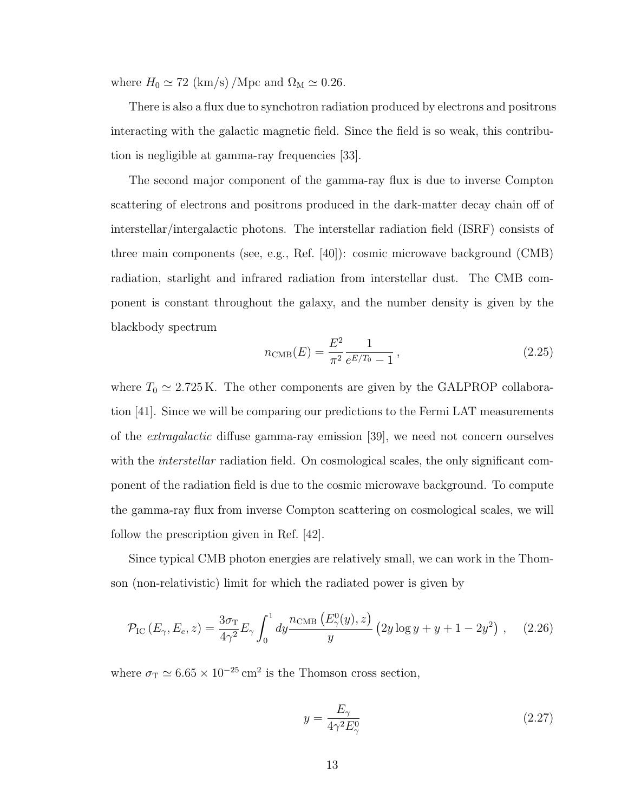where  $H_0 \simeq 72$  (km/s)/Mpc and  $\Omega_M \simeq 0.26$ .

There is also a flux due to synchotron radiation produced by electrons and positrons interacting with the galactic magnetic field. Since the field is so weak, this contribution is negligible at gamma-ray frequencies [33].

The second major component of the gamma-ray flux is due to inverse Compton scattering of electrons and positrons produced in the dark-matter decay chain off of interstellar/intergalactic photons. The interstellar radiation field (ISRF) consists of three main components (see, e.g., Ref. [40]): cosmic microwave background (CMB) radiation, starlight and infrared radiation from interstellar dust. The CMB component is constant throughout the galaxy, and the number density is given by the blackbody spectrum

$$
n_{\rm CMB}(E) = \frac{E^2}{\pi^2} \frac{1}{e^{E/T_0} - 1},
$$
\n(2.25)

where  $T_0 \simeq 2.725 \text{ K}$ . The other components are given by the GALPROP collaboration [41]. Since we will be comparing our predictions to the Fermi LAT measurements of the extragalactic diffuse gamma-ray emission [39], we need not concern ourselves with the *interstellar* radiation field. On cosmological scales, the only significant component of the radiation field is due to the cosmic microwave background. To compute the gamma-ray flux from inverse Compton scattering on cosmological scales, we will follow the prescription given in Ref. [42].

Since typical CMB photon energies are relatively small, we can work in the Thomson (non-relativistic) limit for which the radiated power is given by

$$
\mathcal{P}_{\rm IC}\left(E_{\gamma}, E_e, z\right) = \frac{3\sigma_{\rm T}}{4\gamma^2} E_{\gamma} \int_0^1 dy \frac{n_{\rm CMB}\left(E_{\gamma}^0(y), z\right)}{y} \left(2y \log y + y + 1 - 2y^2\right) ,\quad (2.26)
$$

where  $\sigma_{\rm T} \simeq 6.65 \times 10^{-25}$  cm<sup>2</sup> is the Thomson cross section,

$$
y = \frac{E_{\gamma}}{4\gamma^2 E_{\gamma}^0} \tag{2.27}
$$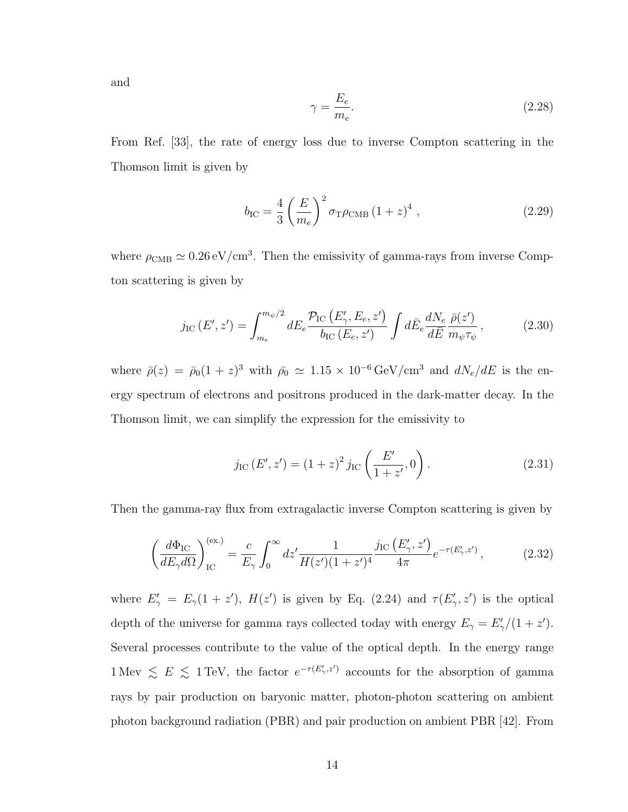and

$$
\gamma = \frac{E_e}{m_e}.\tag{2.28}
$$

From Ref. [33], the rate of energy loss due to inverse Compton scattering in the Thomson limit is given by

$$
b_{\rm IC} = \frac{4}{3} \left( \frac{E}{m_e} \right)^2 \sigma_{\rm T} \rho_{\rm CMB} (1+z)^4 \,, \tag{2.29}
$$

where  $\rho_{\text{CMB}} \simeq 0.26 \,\text{eV}/\text{cm}^3$ . Then the emissivity of gamma-rays from inverse Compton scattering is given by

$$
j_{\rm IC}(E',z') = \int_{m_e}^{m_\psi/2} dE_e \frac{\mathcal{P}_{\rm IC}(E'_{\gamma},E_e,z')}{b_{\rm IC}(E_e,z')} \int d\bar{E}_e \frac{dN_e}{d\bar{E}} \frac{\bar{\rho}(z')}{m_\psi \tau_\psi},\tag{2.30}
$$

where  $\bar{\rho}(z) = \bar{\rho}_0 (1+z)^3$  with  $\bar{\rho}_0 \simeq 1.15 \times 10^{-6} \,\text{GeV/cm}^3$  and  $dN_e/dE$  is the energy spectrum of electrons and positrons produced in the dark-matter decay. In the Thomson limit, we can simplify the expression for the emissivity to

$$
j_{\rm IC}(E', z') = (1+z)^2 j_{\rm IC}\left(\frac{E'}{1+z'}, 0\right). \tag{2.31}
$$

Then the gamma-ray flux from extragalactic inverse Compton scattering is given by

$$
\left(\frac{d\Phi_{\rm IC}}{dE_{\gamma}d\Omega}\right)_{\rm IC}^{\rm (ex.)} = \frac{c}{E_{\gamma}} \int_0^{\infty} dz' \frac{1}{H(z')(1+z')^4} \frac{j_{\rm IC}\left(E'_{\gamma}, z'\right)}{4\pi} e^{-\tau(E'_{\gamma}, z')},\tag{2.32}
$$

where  $E'_{\gamma} = E_{\gamma}(1 + z')$ ,  $H(z')$  is given by Eq. (2.24) and  $\tau(E'_{\gamma}, z')$  is the optical depth of the universe for gamma rays collected today with energy  $E_{\gamma} = E_{\gamma}'/(1 + z')$ . Several processes contribute to the value of the optical depth. In the energy range 1 Mev  $\leq E \leq 1$  TeV, the factor  $e^{-\tau(E'_\gamma,z')}$  accounts for the absorption of gamma rays by pair production on baryonic matter, photon-photon scattering on ambient photon background radiation (PBR) and pair production on ambient PBR [42]. From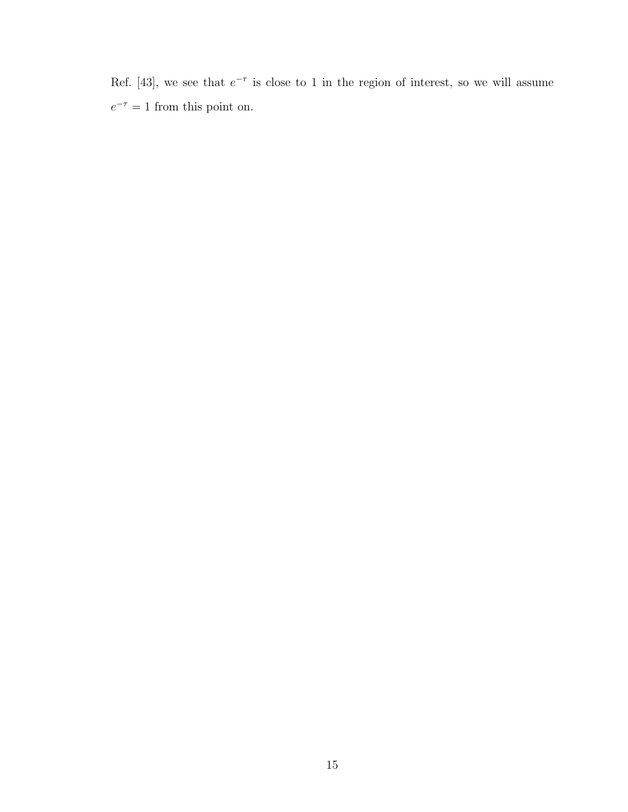Ref. [43], we see that  $e^{-\tau}$  is close to 1 in the region of interest, so we will assume  $e^{-\tau} = 1$  from this point on.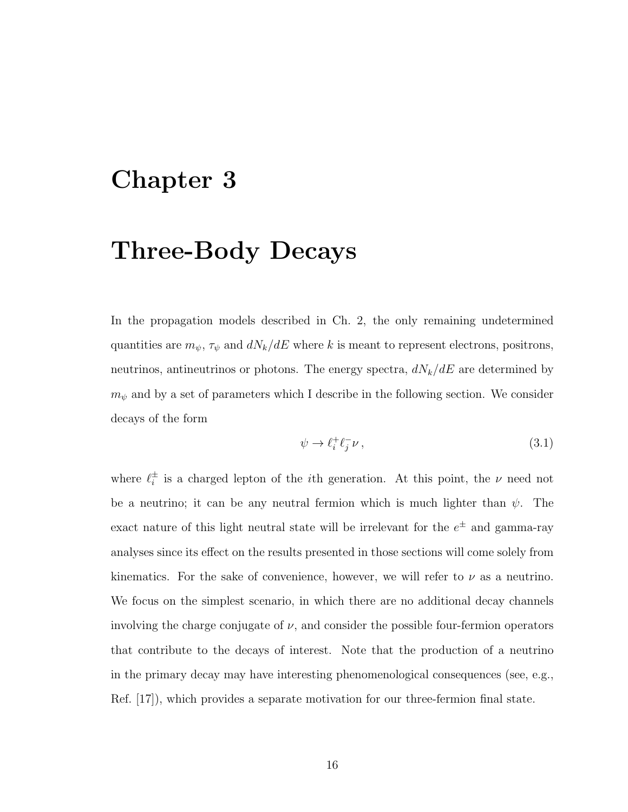### Chapter 3

### Three-Body Decays

In the propagation models described in Ch. 2, the only remaining undetermined quantities are  $m_{\psi}$ ,  $\tau_{\psi}$  and  $dN_k/dE$  where k is meant to represent electrons, positrons, neutrinos, antineutrinos or photons. The energy spectra,  $dN_k/dE$  are determined by  $m_{\psi}$  and by a set of parameters which I describe in the following section. We consider decays of the form

$$
\psi \to \ell_i^+ \ell_j^- \nu \,, \tag{3.1}
$$

where  $\ell_i^{\pm}$  $\frac{1}{i}$  is a charged lepton of the *i*<sup>th</sup> generation. At this point, the  $\nu$  need not be a neutrino; it can be any neutral fermion which is much lighter than  $\psi$ . The exact nature of this light neutral state will be irrelevant for the  $e^{\pm}$  and gamma-ray analyses since its effect on the results presented in those sections will come solely from kinematics. For the sake of convenience, however, we will refer to  $\nu$  as a neutrino. We focus on the simplest scenario, in which there are no additional decay channels involving the charge conjugate of  $\nu$ , and consider the possible four-fermion operators that contribute to the decays of interest. Note that the production of a neutrino in the primary decay may have interesting phenomenological consequences (see, e.g., Ref. [17]), which provides a separate motivation for our three-fermion final state.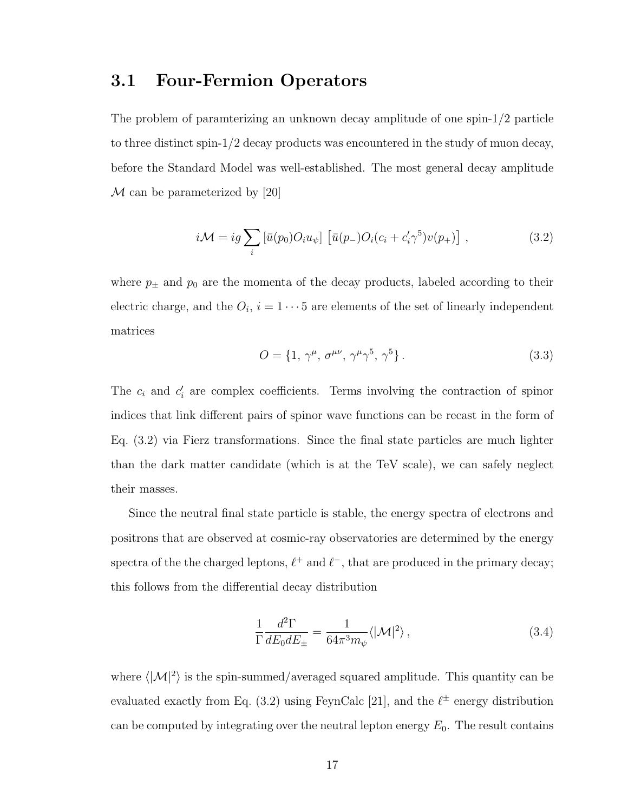#### 3.1 Four-Fermion Operators

The problem of paramterizing an unknown decay amplitude of one spin-1/2 particle to three distinct spin-1/2 decay products was encountered in the study of muon decay, before the Standard Model was well-established. The most general decay amplitude  $\mathcal M$  can be parameterized by [20]

$$
i\mathcal{M} = ig \sum_{i} \left[ \bar{u}(p_0) O_i u_{\psi} \right] \left[ \bar{u}(p_-) O_i (c_i + c'_i \gamma^5) v(p_+) \right], \qquad (3.2)
$$

where  $p_{\pm}$  and  $p_0$  are the momenta of the decay products, labeled according to their electric charge, and the  $O_i$ ,  $i = 1 \cdots 5$  are elements of the set of linearly independent matrices

$$
O = \{1, \gamma^{\mu}, \sigma^{\mu\nu}, \gamma^{\mu}\gamma^5, \gamma^5\}.
$$
 (3.3)

The  $c_i$  and  $c'_i$  are complex coefficients. Terms involving the contraction of spinor indices that link different pairs of spinor wave functions can be recast in the form of Eq. (3.2) via Fierz transformations. Since the final state particles are much lighter than the dark matter candidate (which is at the TeV scale), we can safely neglect their masses.

Since the neutral final state particle is stable, the energy spectra of electrons and positrons that are observed at cosmic-ray observatories are determined by the energy spectra of the the charged leptons,  $\ell^+$  and  $\ell^-$ , that are produced in the primary decay; this follows from the differential decay distribution

$$
\frac{1}{\Gamma} \frac{d^2 \Gamma}{dE_0 dE_{\pm}} = \frac{1}{64\pi^3 m_{\psi}} \langle |\mathcal{M}|^2 \rangle \,, \tag{3.4}
$$

where  $\langle |\mathcal{M}|^2 \rangle$  is the spin-summed/averaged squared amplitude. This quantity can be evaluated exactly from Eq. (3.2) using FeynCalc [21], and the  $\ell^{\pm}$  energy distribution can be computed by integrating over the neutral lepton energy  $E_0$ . The result contains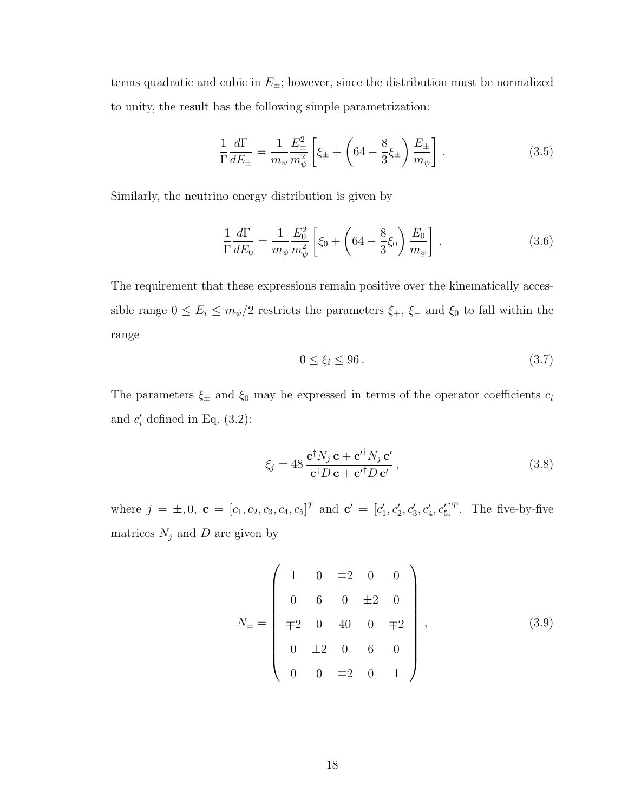terms quadratic and cubic in  $E_{\pm}$ ; however, since the distribution must be normalized to unity, the result has the following simple parametrization:

$$
\frac{1}{\Gamma} \frac{d\Gamma}{dE_{\pm}} = \frac{1}{m_{\psi}} \frac{E_{\pm}^2}{m_{\psi}^2} \left[ \xi_{\pm} + \left( 64 - \frac{8}{3} \xi_{\pm} \right) \frac{E_{\pm}}{m_{\psi}} \right] . \tag{3.5}
$$

Similarly, the neutrino energy distribution is given by

$$
\frac{1}{\Gamma} \frac{d\Gamma}{dE_0} = \frac{1}{m_{\psi}} \frac{E_0^2}{m_{\psi}^2} \left[ \xi_0 + \left( 64 - \frac{8}{3} \xi_0 \right) \frac{E_0}{m_{\psi}} \right].
$$
\n(3.6)

The requirement that these expressions remain positive over the kinematically accessible range  $0 \le E_i \le m_{\psi}/2$  restricts the parameters  $\xi_+$ ,  $\xi_-$  and  $\xi_0$  to fall within the range

$$
0 \le \xi_i \le 96. \tag{3.7}
$$

The parameters  $\xi_{\pm}$  and  $\xi_0$  may be expressed in terms of the operator coefficients  $c_i$ and  $c_i'$  defined in Eq.  $(3.2)$ :

$$
\xi_j = 48 \frac{\mathbf{c}^\dagger N_j \mathbf{c} + \mathbf{c'}^\dagger N_j \mathbf{c'}}{\mathbf{c}^\dagger D \mathbf{c} + \mathbf{c'}^\dagger D \mathbf{c'}},\tag{3.8}
$$

where  $j = \pm, 0$ ,  $\mathbf{c} = [c_1, c_2, c_3, c_4, c_5]^T$  and  $\mathbf{c}' = [c'_1, c'_2, c'_3, c'_4, c'_5]^T$ . The five-by-five matrices  $N_j$  and D are given by

$$
N_{\pm} = \begin{pmatrix} 1 & 0 & \mp 2 & 0 & 0 \\ 0 & 6 & 0 & \pm 2 & 0 \\ \mp 2 & 0 & 40 & 0 & \mp 2 \\ 0 & \pm 2 & 0 & 6 & 0 \\ 0 & 0 & \mp 2 & 0 & 1 \end{pmatrix},
$$
(3.9)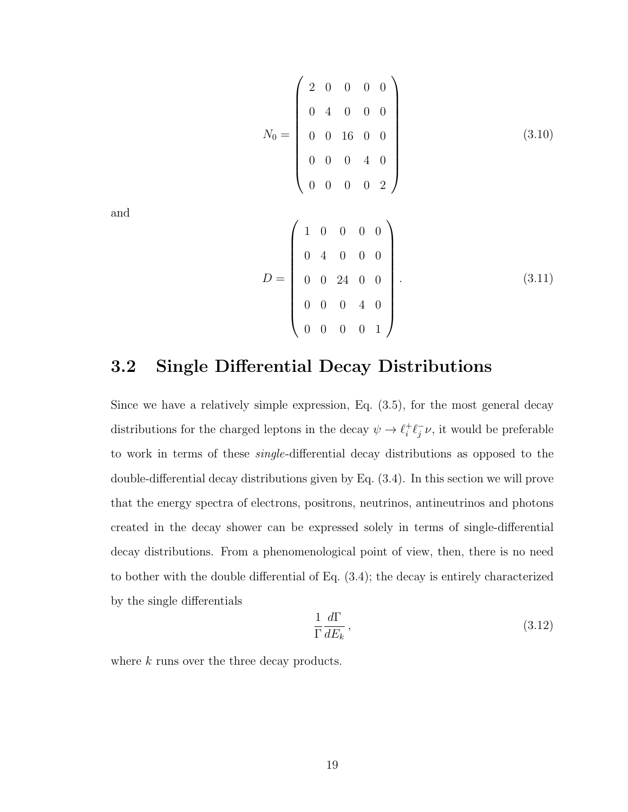$$
N_0 = \begin{pmatrix} 2 & 0 & 0 & 0 & 0 \\ 0 & 4 & 0 & 0 & 0 \\ 0 & 0 & 16 & 0 & 0 \\ 0 & 0 & 0 & 4 & 0 \\ 0 & 0 & 0 & 0 & 2 \end{pmatrix}
$$
(3.10)

and

$$
D = \begin{pmatrix} 1 & 0 & 0 & 0 & 0 \\ 0 & 4 & 0 & 0 & 0 \\ 0 & 0 & 24 & 0 & 0 \\ 0 & 0 & 0 & 4 & 0 \\ 0 & 0 & 0 & 0 & 1 \end{pmatrix}.
$$
 (3.11)

#### 3.2 Single Differential Decay Distributions

Since we have a relatively simple expression, Eq. (3.5), for the most general decay distributions for the charged leptons in the decay  $\psi \rightarrow \ell_i^+$  $i^+ \ell_j^ \bar{j}\nu$ , it would be preferable to work in terms of these single-differential decay distributions as opposed to the double-differential decay distributions given by Eq. (3.4). In this section we will prove that the energy spectra of electrons, positrons, neutrinos, antineutrinos and photons created in the decay shower can be expressed solely in terms of single-differential decay distributions. From a phenomenological point of view, then, there is no need to bother with the double differential of Eq. (3.4); the decay is entirely characterized by the single differentials

$$
\frac{1}{\Gamma} \frac{d\Gamma}{dE_k},\tag{3.12}
$$

where k runs over the three decay products.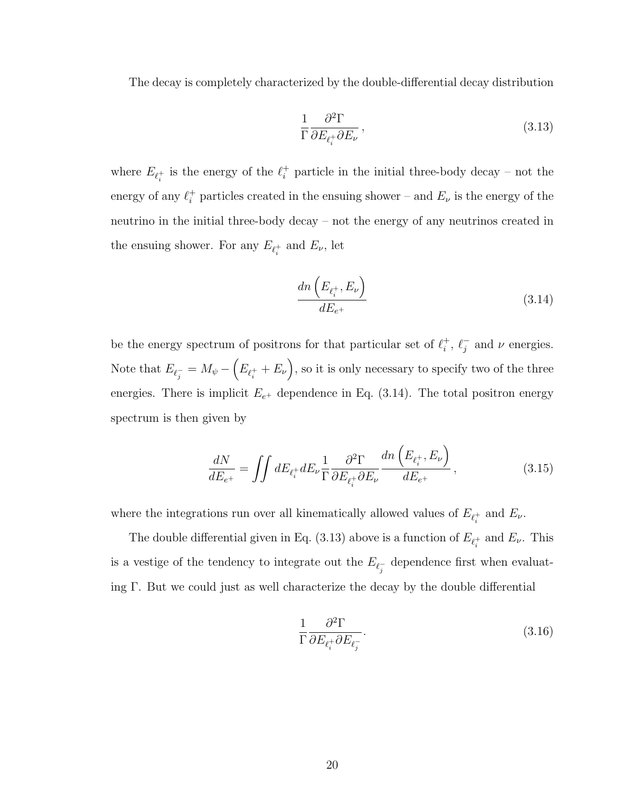The decay is completely characterized by the double-differential decay distribution

$$
\frac{1}{\Gamma} \frac{\partial^2 \Gamma}{\partial E_{\ell_i^+} \partial E_{\nu}},\tag{3.13}
$$

where  $E_{\ell_i^+}$  is the energy of the  $\ell_i^+$  particle in the initial three-body decay – not the energy of any  $\ell_i^+$  particles created in the ensuing shower – and  $E_{\nu}$  is the energy of the neutrino in the initial three-body decay – not the energy of any neutrinos created in the ensuing shower. For any  $E_{\ell_i^+}$  and  $E_{\nu}$ , let

$$
\frac{dn\left(E_{\ell_i^+}, E_\nu\right)}{dE_{e^+}}\tag{3.14}
$$

be the energy spectrum of positrons for that particular set of  $\ell_i^+$  $i^+, \ell_j^ \bar{j}$  and  $\nu$  energies. Note that  $E_{\ell_j^-} = M_{\psi} - (E_{\ell_i^+} + E_{\nu}),$  so it is only necessary to specify two of the three energies. There is implicit  $E_{e^+}$  dependence in Eq. (3.14). The total positron energy spectrum is then given by

$$
\frac{dN}{dE_{e^+}} = \iint dE_{\ell_i^+} dE_{\nu} \frac{1}{\Gamma} \frac{\partial^2 \Gamma}{\partial E_{\ell_i^+} \partial E_{\nu}} \frac{dn\left(E_{\ell_i^+}, E_{\nu}\right)}{dE_{e^+}},\tag{3.15}
$$

where the integrations run over all kinematically allowed values of  $E_{\ell_i^+}$  and  $E_{\nu}$ .

The double differential given in Eq. (3.13) above is a function of  $E_{\ell_i^+}$  and  $E_{\nu}$ . This is a vestige of the tendency to integrate out the  $E_{\ell_j^-}$  dependence first when evaluating Γ. But we could just as well characterize the decay by the double differential

$$
\frac{1}{\Gamma} \frac{\partial^2 \Gamma}{\partial E_{\ell_i^+} \partial E_{\ell_j^-}}.
$$
\n(3.16)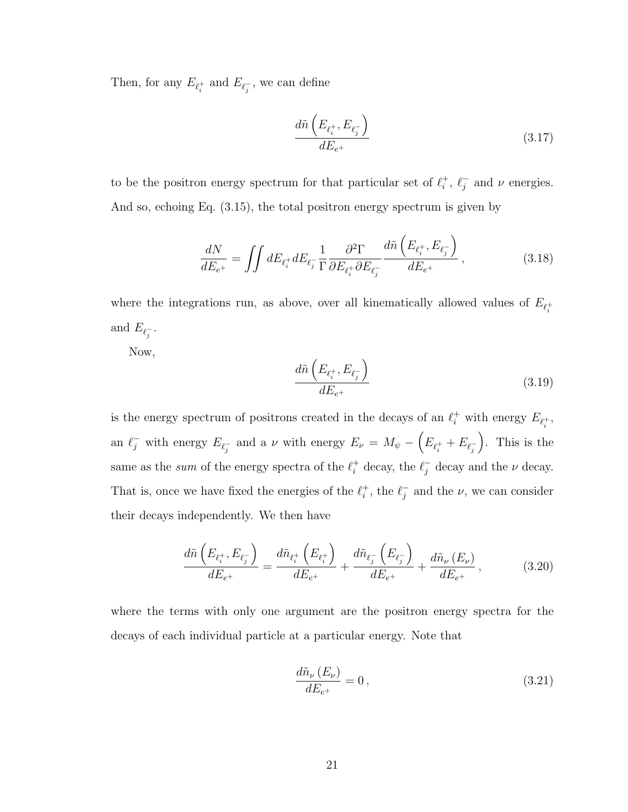Then, for any  $E_{\ell_i^+}$  and  $E_{\ell_j^-}$ , we can define

$$
\frac{d\tilde{n}\left(E_{\ell_i^+}, E_{\ell_j^-}\right)}{dE_{e^+}}\tag{3.17}
$$

to be the positron energy spectrum for that particular set of  $\ell_i^+$  $\ell_i^+$ ,  $\ell_j^ \overline{j}$  and  $\nu$  energies. And so, echoing Eq. (3.15), the total positron energy spectrum is given by

$$
\frac{dN}{dE_{e^+}} = \iint dE_{\ell_i^+} dE_{\ell_j^-} \frac{1}{\Gamma} \frac{\partial^2 \Gamma}{\partial E_{\ell_i^+} \partial E_{\ell_j^-}} \frac{d\tilde{n} \left( E_{\ell_i^+}, E_{\ell_j^-} \right)}{dE_{e^+}},
$$
\n(3.18)

where the integrations run, as above, over all kinematically allowed values of  $E_{\ell_i^+}$ and  $E_{\ell_j^-}$ .

Now,

$$
\frac{d\tilde{n}\left(E_{\ell_i^+}, E_{\ell_j^-}\right)}{dE_{e^+}}\tag{3.19}
$$

is the energy spectrum of positrons created in the decays of an  $\ell_i^+$  with energy  $E_{\ell_i^+}$ , an  $\ell_j^-$  with energy  $E_{\ell_j^-}$  and a  $\nu$  with energy  $E_{\nu} = M_{\psi} - \left(E_{\ell_i^+} + E_{\ell_j^-}\right)$  . This is the same as the sum of the energy spectra of the  $\ell_i^+$  decay, the  $\ell_j^-$  decay and the  $\nu$  decay. That is, once we have fixed the energies of the  $\ell_i^+$  $i^+$ , the  $\ell_j^$  $j$  and the  $\nu$ , we can consider their decays independently. We then have

$$
\frac{d\tilde{n}\left(E_{\ell_{i}^{+}},E_{\ell_{j}^{-}}\right)}{dE_{e^{+}}} = \frac{d\tilde{n}_{\ell_{i}^{+}}\left(E_{\ell_{i}^{+}}\right)}{dE_{e^{+}}} + \frac{d\tilde{n}_{\ell_{j}^{-}}\left(E_{\ell_{j}^{-}}\right)}{dE_{e^{+}}} + \frac{d\tilde{n}_{\nu}\left(E_{\nu}\right)}{dE_{e^{+}}},\tag{3.20}
$$

where the terms with only one argument are the positron energy spectra for the decays of each individual particle at a particular energy. Note that

$$
\frac{d\tilde{n}_{\nu}\left(E_{\nu}\right)}{dE_{e^{+}}} = 0\,,\tag{3.21}
$$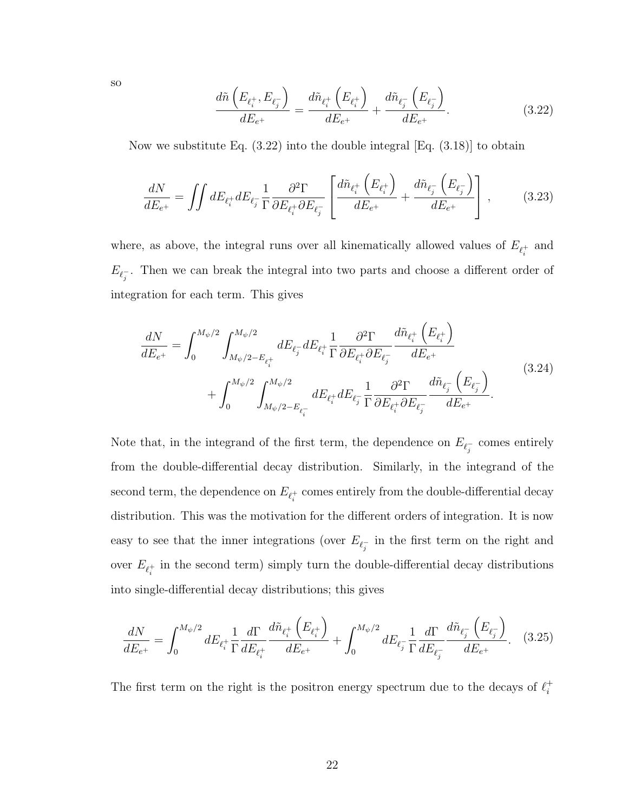so

$$
\frac{d\tilde{n}\left(E_{\ell_i^+}, E_{\ell_j^-}\right)}{dE_{e^+}} = \frac{d\tilde{n}_{\ell_i^+}\left(E_{\ell_i^+}\right)}{dE_{e^+}} + \frac{d\tilde{n}_{\ell_j^-}\left(E_{\ell_j^-}\right)}{dE_{e^+}}.
$$
\n(3.22)

Now we substitute Eq.  $(3.22)$  into the double integral [Eq.  $(3.18)$ ] to obtain

$$
\frac{dN}{dE_{e^+}} = \iint dE_{\ell_i^+} dE_{\ell_j^-} \frac{1}{\Gamma} \frac{\partial^2 \Gamma}{\partial E_{\ell_i^+} \partial E_{\ell_j^-}} \left[ \frac{d\tilde{n}_{\ell_i^+} \left( E_{\ell_i^+} \right)}{dE_{e^+}} + \frac{d\tilde{n}_{\ell_j^-} \left( E_{\ell_j^-} \right)}{dE_{e^+}} \right],\tag{3.23}
$$

where, as above, the integral runs over all kinematically allowed values of  $E_{\ell_i^+}$  and  $E_{\ell_j^-}$ . Then we can break the integral into two parts and choose a different order of integration for each term. This gives

$$
\frac{dN}{dE_{e^{+}}} = \int_{0}^{M_{\psi}/2} \int_{M_{\psi}/2 - E_{\ell_{i}^{+}}}^{M_{\psi}/2} dE_{\ell_{j}^{-}} dE_{\ell_{i}^{+}} \frac{1}{\Gamma} \frac{\partial^{2} \Gamma}{\partial E_{\ell_{i}^{+}} \partial E_{\ell_{j}^{-}}} \frac{d\tilde{n}_{\ell_{i}^{+}}(E_{\ell_{i}^{+}})}{dE_{e^{+}}}
$$
\n
$$
+ \int_{0}^{M_{\psi}/2} \int_{M_{\psi}/2 - E_{\ell_{i}^{-}}}^{M_{\psi}/2} dE_{\ell_{i}^{+}} dE_{\ell_{j}^{-}} \frac{1}{\Gamma} \frac{\partial^{2} \Gamma}{\partial E_{\ell_{i}^{+}} \partial E_{\ell_{j}^{-}}} \frac{d\tilde{n}_{\ell_{j}^{-}}(E_{\ell_{j}^{-}})}{dE_{e^{+}}}.
$$
\n(3.24)

Note that, in the integrand of the first term, the dependence on  $E_{\ell_j^-}$  comes entirely from the double-differential decay distribution. Similarly, in the integrand of the second term, the dependence on  $E_{\ell_i^+}$  comes entirely from the double-differential decay distribution. This was the motivation for the different orders of integration. It is now easy to see that the inner integrations (over  $E_{\ell_j^-}$  in the first term on the right and over  $E_{\ell_i^+}$  in the second term) simply turn the double-differential decay distributions into single-differential decay distributions; this gives

$$
\frac{dN}{dE_{e^+}} = \int_0^{M_{\psi}/2} dE_{\ell_i^+} \frac{1}{\Gamma} \frac{d\Gamma}{dE_{\ell_i^+}} \frac{d\tilde{n}_{\ell_i^+} \left( E_{\ell_i^+} \right)}{dE_{e^+}} + \int_0^{M_{\psi}/2} dE_{\ell_j^-} \frac{1}{\Gamma} \frac{d\Gamma}{dE_{\ell_j^-}} \frac{d\tilde{n}_{\ell_j^-} \left( E_{\ell_j^-} \right)}{dE_{e^+}}.
$$
 (3.25)

The first term on the right is the positron energy spectrum due to the decays of  $\ell_i^+$ i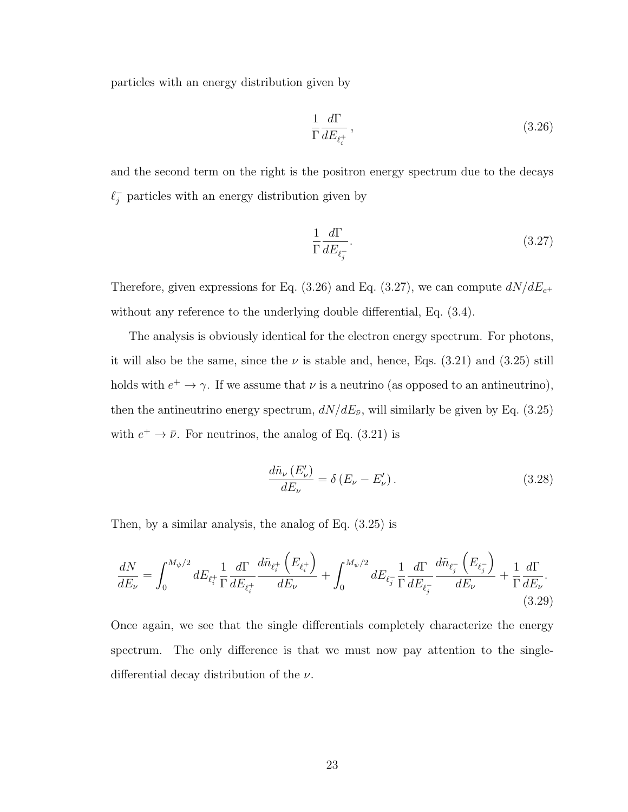particles with an energy distribution given by

$$
\frac{1}{\Gamma} \frac{d\Gamma}{dE_{\ell_i^+}},\tag{3.26}
$$

and the second term on the right is the positron energy spectrum due to the decays  $\ell_j^-$  particles with an energy distribution given by

$$
\frac{1}{\Gamma} \frac{d\Gamma}{dE_{\ell_j^-}}.\tag{3.27}
$$

Therefore, given expressions for Eq. (3.26) and Eq. (3.27), we can compute  $dN/dE_{e^+}$ without any reference to the underlying double differential, Eq. (3.4).

The analysis is obviously identical for the electron energy spectrum. For photons, it will also be the same, since the  $\nu$  is stable and, hence, Eqs. (3.21) and (3.25) still holds with  $e^+ \to \gamma$ . If we assume that  $\nu$  is a neutrino (as opposed to an antineutrino), then the antineutrino energy spectrum,  $dN/dE_{\bar{\nu}}$ , will similarly be given by Eq. (3.25) with  $e^+ \to \bar{\nu}$ . For neutrinos, the analog of Eq. (3.21) is

$$
\frac{d\tilde{n}_{\nu}\left(E_{\nu}'\right)}{dE_{\nu}} = \delta\left(E_{\nu} - E_{\nu}'\right). \tag{3.28}
$$

Then, by a similar analysis, the analog of Eq. (3.25) is

$$
\frac{dN}{dE_{\nu}} = \int_{0}^{M_{\psi}/2} dE_{\ell_{i}^{+}} \frac{1}{\Gamma} \frac{d\Gamma}{dE_{\ell_{i}^{+}}} \frac{d\tilde{n}_{\ell_{i}^{+}}(E_{\ell_{i}^{+}})}{dE_{\nu}} + \int_{0}^{M_{\psi}/2} dE_{\ell_{j}^{-}} \frac{1}{\Gamma} \frac{d\Gamma}{dE_{\ell_{j}^{-}}} \frac{d\tilde{n}_{\ell_{j}^{-}}(E_{\ell_{j}^{-}})}{dE_{\nu}} + \frac{1}{\Gamma} \frac{d\Gamma}{dE_{\nu}}.
$$
\n(3.29)

Once again, we see that the single differentials completely characterize the energy spectrum. The only difference is that we must now pay attention to the singledifferential decay distribution of the  $\nu$ .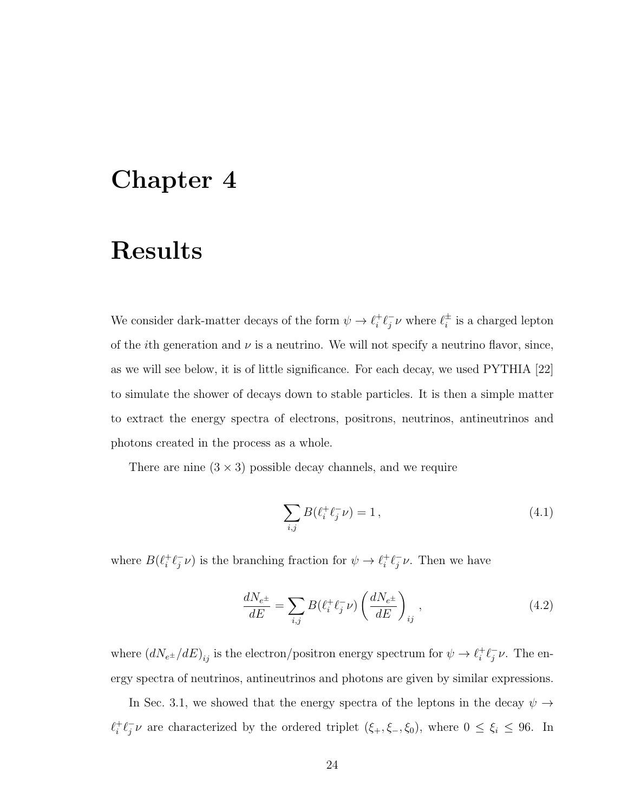### Chapter 4

### Results

We consider dark-matter decays of the form  $\psi \to \ell_i^+$  $i^+ \ell_j^ \bar{j} \nu$  where  $\ell_i^{\pm}$  $\frac{1}{i}$  is a charged lepton of the *i*th generation and  $\nu$  is a neutrino. We will not specify a neutrino flavor, since, as we will see below, it is of little significance. For each decay, we used PYTHIA [22] to simulate the shower of decays down to stable particles. It is then a simple matter to extract the energy spectra of electrons, positrons, neutrinos, antineutrinos and photons created in the process as a whole.

There are nine  $(3 \times 3)$  possible decay channels, and we require

$$
\sum_{i,j} B(\ell_i^+ \ell_j^- \nu) = 1, \qquad (4.1)
$$

where  $B(\ell_i^+$  $i^+ \ell_j^ (\overline{y}, \overline{\nu})$  is the branching fraction for  $\psi \to \ell_i^+$  $i^+ \ell_j^ \bar{j}\nu$ . Then we have

$$
\frac{dN_{e^{\pm}}}{dE} = \sum_{i,j} B(\ell_i^+ \ell_j^- \nu) \left(\frac{dN_{e^{\pm}}}{dE}\right)_{ij},\tag{4.2}
$$

where  $(dN_{e^{\pm}}/dE)_{ij}$  is the electron/positron energy spectrum for  $\psi \to \ell_i^+$  $i^+ \ell_j^ \frac{1}{j}\nu$ . The energy spectra of neutrinos, antineutrinos and photons are given by similar expressions.

In Sec. 3.1, we showed that the energy spectra of the leptons in the decay  $\psi \rightarrow$  $\ell_i^+$  $i^+ \ell_j^ _{j}^{-}\nu$  are characterized by the ordered triplet  $(\xi_{+}, \xi_{-}, \xi_{0})$ , where  $0 \leq \xi_{i} \leq 96$ . In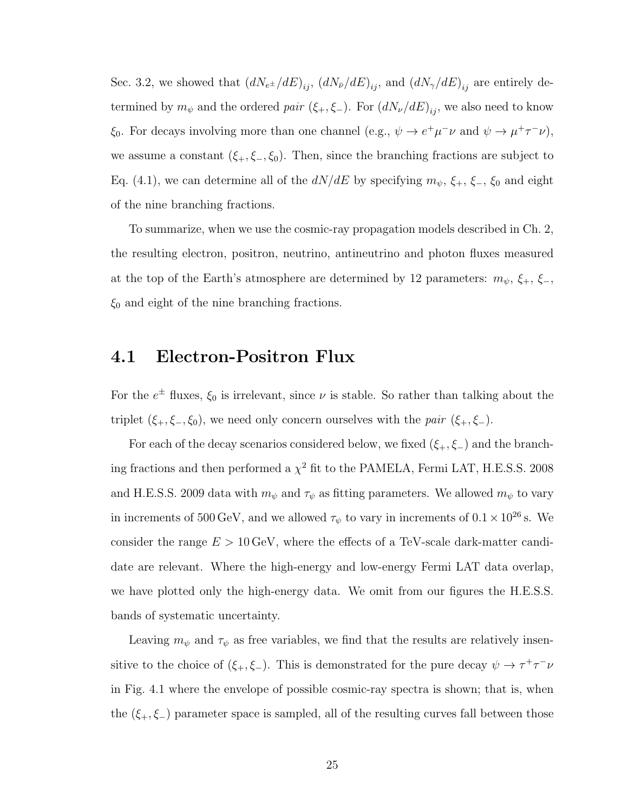Sec. 3.2, we showed that  $(dN_{e^{\pm}}/dE)_{ij}$ ,  $(dN_{\bar{\nu}}/dE)_{ij}$ , and  $(dN_{\gamma}/dE)_{ij}$  are entirely determined by  $m_{\psi}$  and the ordered *pair* ( $\xi_{+}, \xi_{-}$ ). For  $(dN_{\nu}/dE)_{ij}$ , we also need to know  $\xi_0$ . For decays involving more than one channel (e.g.,  $\psi \to e^+ \mu^- \nu$  and  $\psi \to \mu^+ \tau^- \nu$ ), we assume a constant  $(\xi_+, \xi_-, \xi_0)$ . Then, since the branching fractions are subject to Eq. (4.1), we can determine all of the  $dN/dE$  by specifying  $m_{\psi}$ ,  $\xi_{+}$ ,  $\xi_{-}$ ,  $\xi_{0}$  and eight of the nine branching fractions.

To summarize, when we use the cosmic-ray propagation models described in Ch. 2, the resulting electron, positron, neutrino, antineutrino and photon fluxes measured at the top of the Earth's atmosphere are determined by 12 parameters:  $m_{\psi}$ ,  $\xi_{+}$ ,  $\xi_{-}$ ,  $\xi_0$  and eight of the nine branching fractions.

#### 4.1 Electron-Positron Flux

For the  $e^{\pm}$  fluxes,  $\xi_0$  is irrelevant, since  $\nu$  is stable. So rather than talking about the triplet  $(\xi_+,\xi_-,\xi_0)$ , we need only concern ourselves with the *pair*  $(\xi_+,\xi_-)$ .

For each of the decay scenarios considered below, we fixed  $(\xi_+, \xi_-)$  and the branching fractions and then performed a  $\chi^2$  fit to the PAMELA, Fermi LAT, H.E.S.S. 2008 and H.E.S.S. 2009 data with  $m_{\psi}$  and  $\tau_{\psi}$  as fitting parameters. We allowed  $m_{\psi}$  to vary in increments of 500 GeV, and we allowed  $\tau_{\psi}$  to vary in increments of  $0.1 \times 10^{26}$  s. We consider the range  $E > 10 \,\text{GeV}$ , where the effects of a TeV-scale dark-matter candidate are relevant. Where the high-energy and low-energy Fermi LAT data overlap, we have plotted only the high-energy data. We omit from our figures the H.E.S.S. bands of systematic uncertainty.

Leaving  $m_{\psi}$  and  $\tau_{\psi}$  as free variables, we find that the results are relatively insensitive to the choice of  $(\xi_+,\xi_-)$ . This is demonstrated for the pure decay  $\psi \to \tau^+\tau^-\nu$ in Fig. 4.1 where the envelope of possible cosmic-ray spectra is shown; that is, when the  $(\xi_+,\xi_-)$  parameter space is sampled, all of the resulting curves fall between those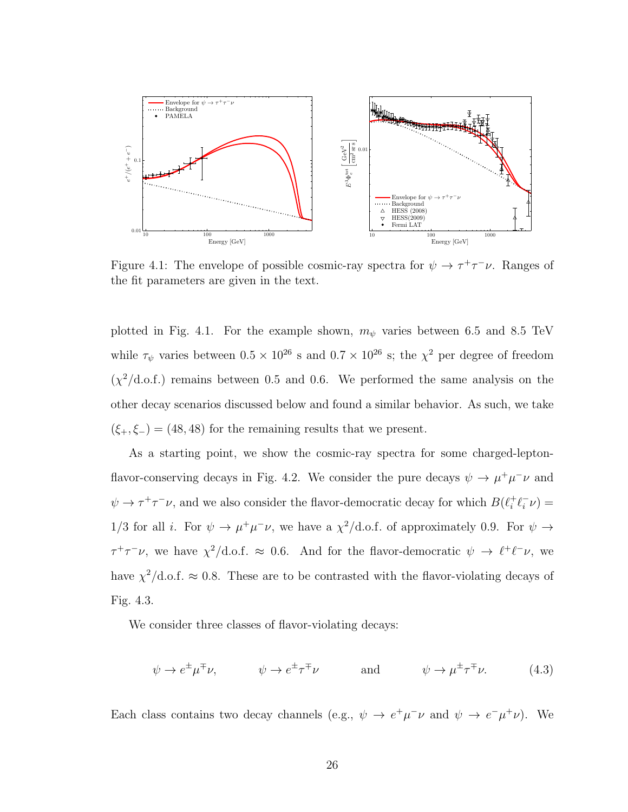

Figure 4.1: The envelope of possible cosmic-ray spectra for  $\psi \to \tau^+\tau^-\nu$ . Ranges of the fit parameters are given in the text.

plotted in Fig. 4.1. For the example shown,  $m_{\psi}$  varies between 6.5 and 8.5 TeV while  $\tau_{\psi}$  varies between  $0.5 \times 10^{26}$  s and  $0.7 \times 10^{26}$  s; the  $\chi^2$  per degree of freedom  $(\chi^2/\text{d.o.f.})$  remains between 0.5 and 0.6. We performed the same analysis on the other decay scenarios discussed below and found a similar behavior. As such, we take  $(\xi_+,\xi_-) = (48, 48)$  for the remaining results that we present.

As a starting point, we show the cosmic-ray spectra for some charged-leptonflavor-conserving decays in Fig. 4.2. We consider the pure decays  $\psi \to \mu^+ \mu^- \nu$  and  $\psi \to \tau^+ \tau^- \nu$ , and we also consider the flavor-democratic decay for which  $B(\ell_i^+$  $i^+ \ell_i^ \overline{i} \nu$ ) = 1/3 for all *i*. For  $\psi \to \mu^+\mu^-\nu$ , we have a  $\chi^2/\text{d.o.f.}$  of approximately 0.9. For  $\psi \to$  $\tau^+\tau^-\nu$ , we have  $\chi^2/\text{d.o.f.} \approx 0.6$ . And for the flavor-democratic  $\psi \to \ell^+\ell^-\nu$ , we have  $\chi^2/\text{d.o.f.} \approx 0.8$ . These are to be contrasted with the flavor-violating decays of Fig. 4.3.

We consider three classes of flavor-violating decays:

$$
\psi \to e^{\pm} \mu^{\mp} \nu, \qquad \psi \to e^{\pm} \tau^{\mp} \nu \qquad \text{and} \qquad \psi \to \mu^{\pm} \tau^{\mp} \nu. \tag{4.3}
$$

Each class contains two decay channels (e.g.,  $\psi \to e^+ \mu^- \nu$  and  $\psi \to e^- \mu^+ \nu$ ). We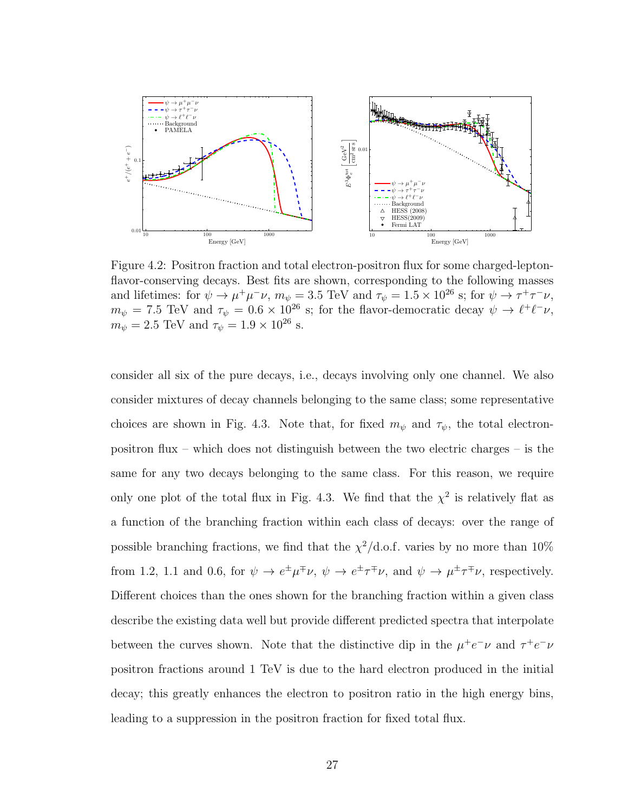

Figure 4.2: Positron fraction and total electron-positron flux for some charged-leptonflavor-conserving decays. Best fits are shown, corresponding to the following masses and lifetimes: for  $\psi \to \mu^+ \mu^- \nu$ ,  $m_{\psi} = 3.5$  TeV and  $\tau_{\psi} = 1.5 \times 10^{26}$  s; for  $\psi \to \tau^+ \tau^- \nu$ ,  $m_{\psi} = 7.5$  TeV and  $\tau_{\psi} = 0.6 \times 10^{26}$  s; for the flavor-democratic decay  $\psi \to \ell^+ \ell^- \nu$ ,  $m_\psi = 2.5$  TeV and  $\tau_\psi = 1.9 \times 10^{26}$  s.

consider all six of the pure decays, i.e., decays involving only one channel. We also consider mixtures of decay channels belonging to the same class; some representative choices are shown in Fig. 4.3. Note that, for fixed  $m_{\psi}$  and  $\tau_{\psi}$ , the total electronpositron flux – which does not distinguish between the two electric charges – is the same for any two decays belonging to the same class. For this reason, we require only one plot of the total flux in Fig. 4.3. We find that the  $\chi^2$  is relatively flat as a function of the branching fraction within each class of decays: over the range of possible branching fractions, we find that the  $\chi^2/\text{d.o.f.}$  varies by no more than  $10\%$ from 1.2, 1.1 and 0.6, for  $\psi \to e^{\pm} \mu^{\mp} \nu$ ,  $\psi \to e^{\pm} \tau^{\mp} \nu$ , and  $\psi \to \mu^{\pm} \tau^{\mp} \nu$ , respectively. Different choices than the ones shown for the branching fraction within a given class describe the existing data well but provide different predicted spectra that interpolate between the curves shown. Note that the distinctive dip in the  $\mu^+e^-\nu$  and  $\tau^+e^-\nu$ positron fractions around 1 TeV is due to the hard electron produced in the initial decay; this greatly enhances the electron to positron ratio in the high energy bins, leading to a suppression in the positron fraction for fixed total flux.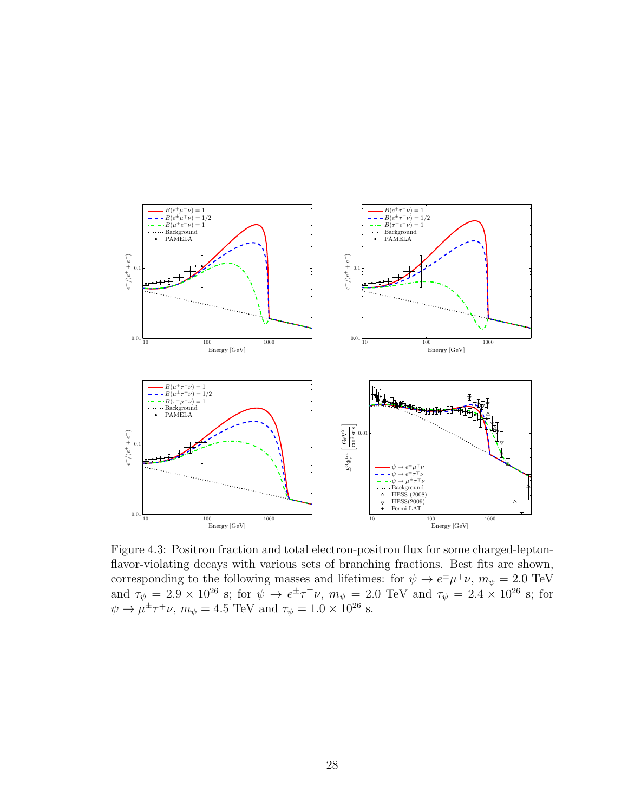

Figure 4.3: Positron fraction and total electron-positron flux for some charged-leptonflavor-violating decays with various sets of branching fractions. Best fits are shown, corresponding to the following masses and lifetimes: for  $\psi \to e^{\pm} \mu^{\mp} \nu$ ,  $m_{\psi} = 2.0$  TeV and  $\tau_{\psi} = 2.9 \times 10^{26}$  s; for  $\psi \to e^{\pm} \tau^{\mp} \nu$ ,  $m_{\psi} = 2.0$  TeV and  $\tau_{\psi} = 2.4 \times 10^{26}$  s; for  $\psi \rightarrow \mu^{\pm} \tau^{\mp} \nu$ ,  $m_{\psi} = 4.5 \text{ TeV}$  and  $\tau_{\psi} = 1.0 \times 10^{26} \text{ s}.$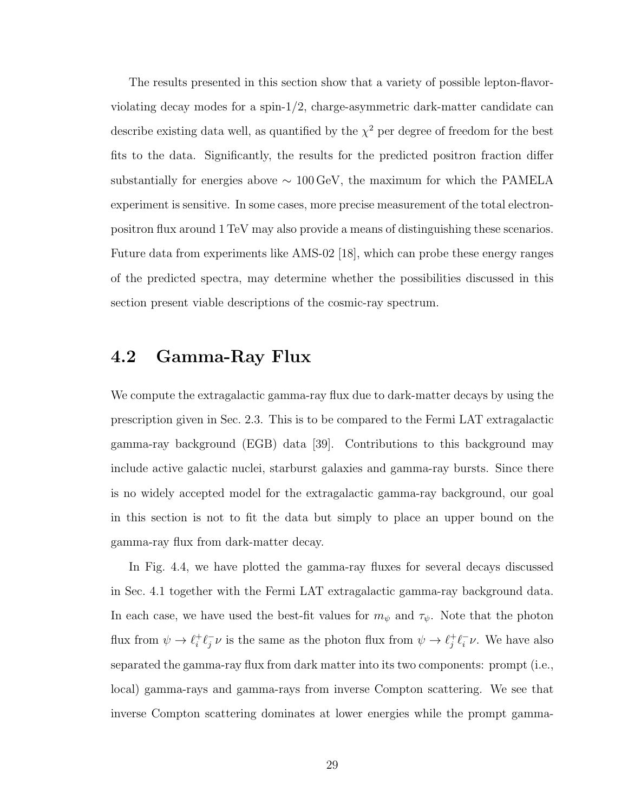The results presented in this section show that a variety of possible lepton-flavorviolating decay modes for a spin-1/2, charge-asymmetric dark-matter candidate can describe existing data well, as quantified by the  $\chi^2$  per degree of freedom for the best fits to the data. Significantly, the results for the predicted positron fraction differ substantially for energies above  $\sim 100 \,\text{GeV}$ , the maximum for which the PAMELA experiment is sensitive. In some cases, more precise measurement of the total electronpositron flux around 1 TeV may also provide a means of distinguishing these scenarios. Future data from experiments like AMS-02 [18], which can probe these energy ranges of the predicted spectra, may determine whether the possibilities discussed in this section present viable descriptions of the cosmic-ray spectrum.

#### 4.2 Gamma-Ray Flux

We compute the extragalactic gamma-ray flux due to dark-matter decays by using the prescription given in Sec. 2.3. This is to be compared to the Fermi LAT extragalactic gamma-ray background (EGB) data [39]. Contributions to this background may include active galactic nuclei, starburst galaxies and gamma-ray bursts. Since there is no widely accepted model for the extragalactic gamma-ray background, our goal in this section is not to fit the data but simply to place an upper bound on the gamma-ray flux from dark-matter decay.

In Fig. 4.4, we have plotted the gamma-ray fluxes for several decays discussed in Sec. 4.1 together with the Fermi LAT extragalactic gamma-ray background data. In each case, we have used the best-fit values for  $m_{\psi}$  and  $\tau_{\psi}$ . Note that the photon flux from  $\psi \to \ell_i^+$  $i^+ \ell_j^ \bar{j} \nu$  is the same as the photon flux from  $\psi \to \ell_j^+$  $j^+ \ell_i^$  $i \nu$ . We have also separated the gamma-ray flux from dark matter into its two components: prompt (i.e., local) gamma-rays and gamma-rays from inverse Compton scattering. We see that inverse Compton scattering dominates at lower energies while the prompt gamma-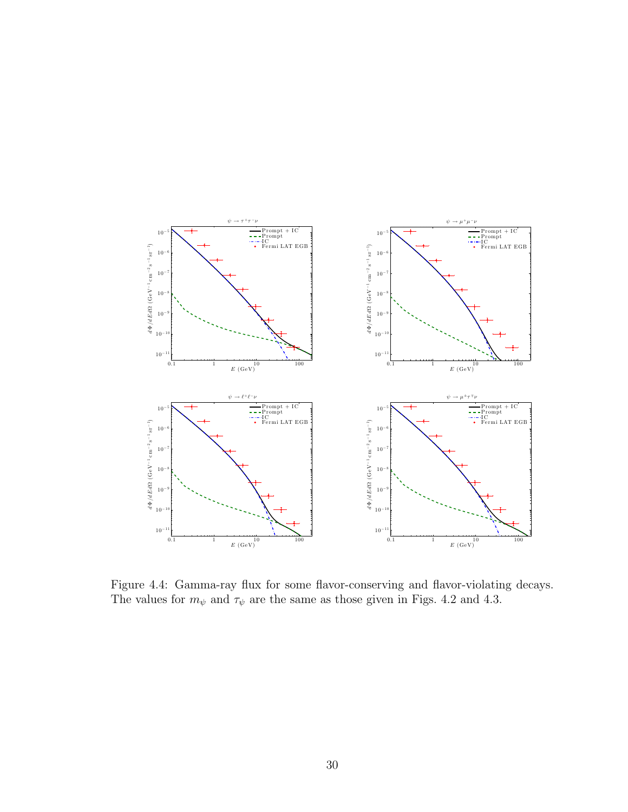

Figure 4.4: Gamma-ray flux for some flavor-conserving and flavor-violating decays. The values for  $m_\psi$  and  $\tau_\psi$  are the same as those given in Figs. 4.2 and 4.3.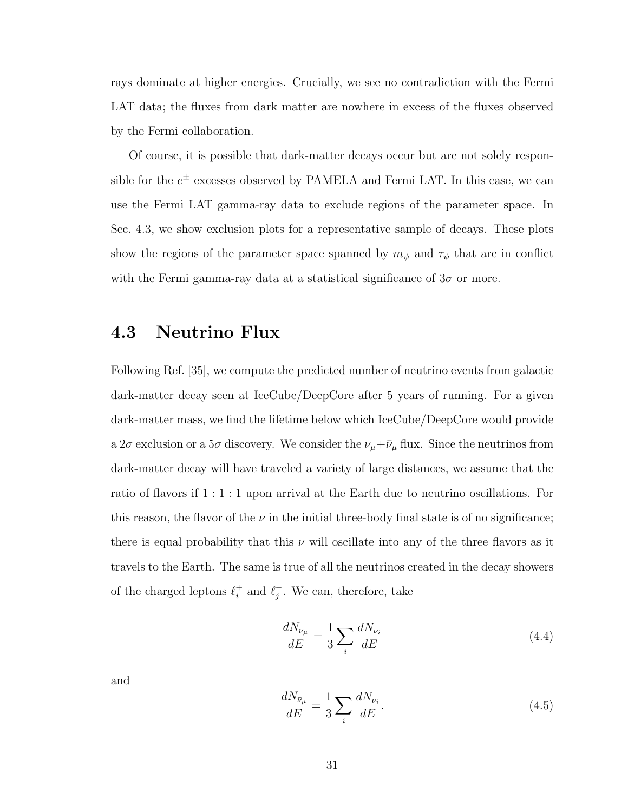rays dominate at higher energies. Crucially, we see no contradiction with the Fermi LAT data; the fluxes from dark matter are nowhere in excess of the fluxes observed by the Fermi collaboration.

Of course, it is possible that dark-matter decays occur but are not solely responsible for the  $e^{\pm}$  excesses observed by PAMELA and Fermi LAT. In this case, we can use the Fermi LAT gamma-ray data to exclude regions of the parameter space. In Sec. 4.3, we show exclusion plots for a representative sample of decays. These plots show the regions of the parameter space spanned by  $m_{\psi}$  and  $\tau_{\psi}$  that are in conflict with the Fermi gamma-ray data at a statistical significance of  $3\sigma$  or more.

#### 4.3 Neutrino Flux

Following Ref. [35], we compute the predicted number of neutrino events from galactic dark-matter decay seen at IceCube/DeepCore after 5 years of running. For a given dark-matter mass, we find the lifetime below which IceCube/DeepCore would provide a  $2\sigma$  exclusion or a  $5\sigma$  discovery. We consider the  $\nu_\mu + \bar{\nu}_\mu$  flux. Since the neutrinos from dark-matter decay will have traveled a variety of large distances, we assume that the ratio of flavors if 1 : 1 : 1 upon arrival at the Earth due to neutrino oscillations. For this reason, the flavor of the  $\nu$  in the initial three-body final state is of no significance; there is equal probability that this  $\nu$  will oscillate into any of the three flavors as it travels to the Earth. The same is true of all the neutrinos created in the decay showers of the charged leptons  $\ell_i^+$  $i^+$  and  $\ell_j^ _{j}^{-}$ . We can, therefore, take

$$
\frac{dN_{\nu_{\mu}}}{dE} = \frac{1}{3} \sum_{i} \frac{dN_{\nu_{i}}}{dE}
$$
\n(4.4)

and

$$
\frac{dN_{\bar{\nu}_{\mu}}}{dE} = \frac{1}{3} \sum_{i} \frac{dN_{\bar{\nu}_{i}}}{dE}.
$$
\n(4.5)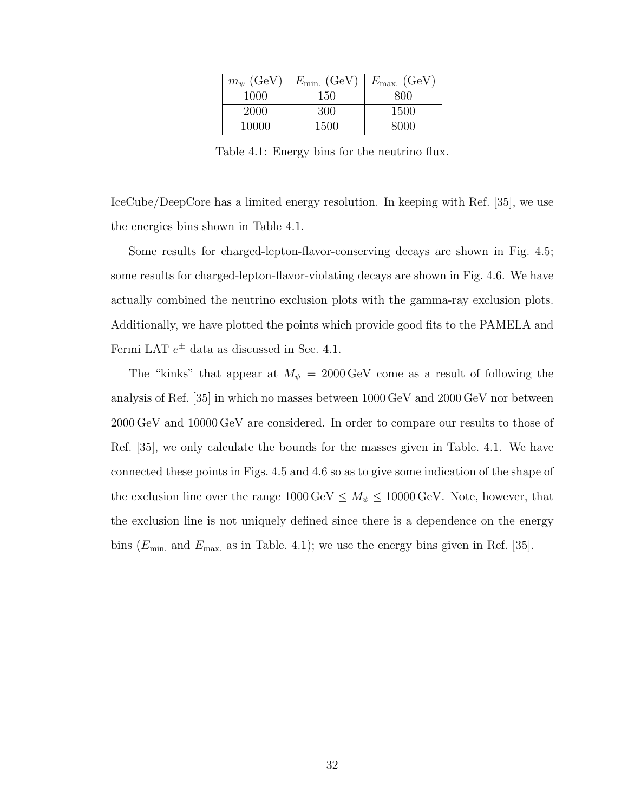| GeV<br>$m_{\psi}$ | (GeV)<br>$E_{\rm min.}$ | $^{\prime}$ GeV<br>$E_{\rm max.}$ |
|-------------------|-------------------------|-----------------------------------|
| 1000              | 150                     | 800                               |
| 2000              | 300                     | 1500                              |
| 10000             | 1500                    |                                   |

Table 4.1: Energy bins for the neutrino flux.

IceCube/DeepCore has a limited energy resolution. In keeping with Ref. [35], we use the energies bins shown in Table 4.1.

Some results for charged-lepton-flavor-conserving decays are shown in Fig. 4.5; some results for charged-lepton-flavor-violating decays are shown in Fig. 4.6. We have actually combined the neutrino exclusion plots with the gamma-ray exclusion plots. Additionally, we have plotted the points which provide good fits to the PAMELA and Fermi LAT  $e^{\pm}$  data as discussed in Sec. 4.1.

The "kinks" that appear at  $M_{\psi} = 2000 \,\text{GeV}$  come as a result of following the analysis of Ref. [35] in which no masses between 1000 GeV and 2000 GeV nor between 2000 GeV and 10000 GeV are considered. In order to compare our results to those of Ref. [35], we only calculate the bounds for the masses given in Table. 4.1. We have connected these points in Figs. 4.5 and 4.6 so as to give some indication of the shape of the exclusion line over the range  $1000 \,\text{GeV} \leq M_{\psi} \leq 10000 \,\text{GeV}$ . Note, however, that the exclusion line is not uniquely defined since there is a dependence on the energy bins ( $E_{\text{min}}$  and  $E_{\text{max}}$  as in Table. 4.1); we use the energy bins given in Ref. [35].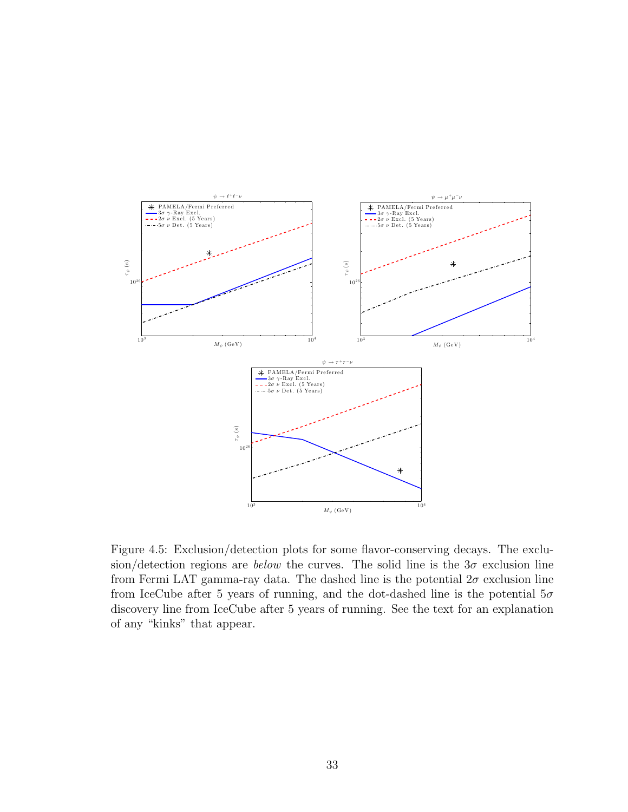

Figure 4.5: Exclusion/detection plots for some flavor-conserving decays. The exclusion/detection regions are *below* the curves. The solid line is the  $3\sigma$  exclusion line from Fermi LAT gamma-ray data. The dashed line is the potential  $2\sigma$  exclusion line from IceCube after 5 years of running, and the dot-dashed line is the potential  $5\sigma$ discovery line from IceCube after 5 years of running. See the text for an explanation of any "kinks" that appear.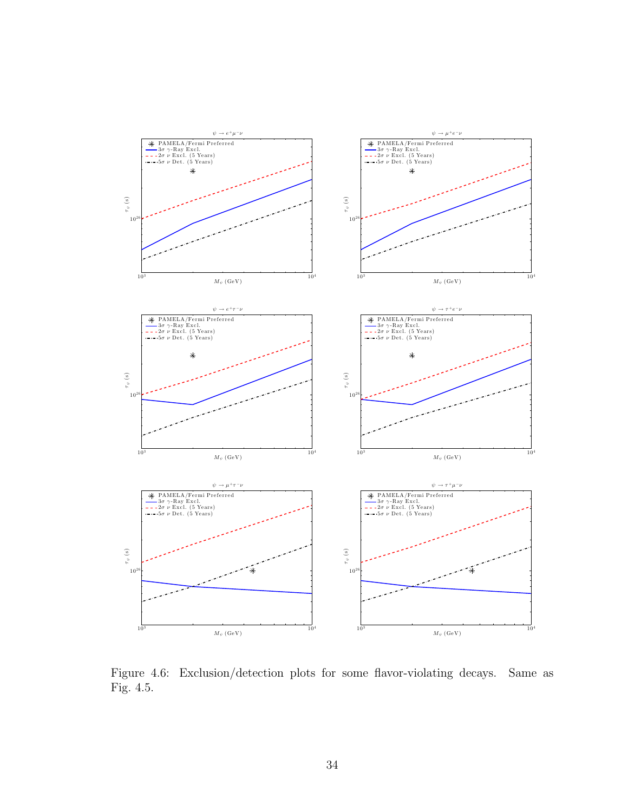

Figure 4.6: Exclusion/detection plots for some flavor-violating decays. Same as Fig. 4.5.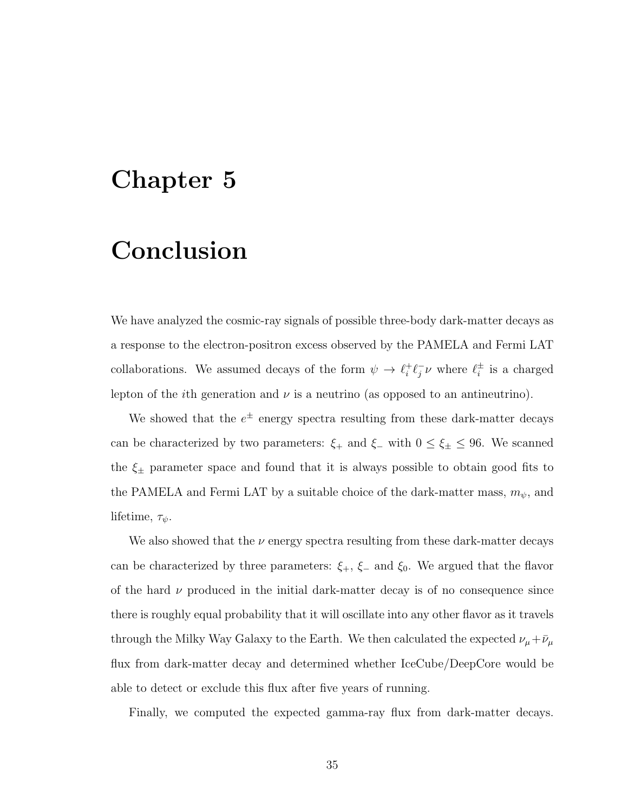### Chapter 5

### Conclusion

We have analyzed the cosmic-ray signals of possible three-body dark-matter decays as a response to the electron-positron excess observed by the PAMELA and Fermi LAT collaborations. We assumed decays of the form  $\psi \to \ell_i^+$  $i^+ \ell_j^ \bar{j} \nu$  where  $\ell_i^{\pm}$  $\frac{1}{i}$  is a charged lepton of the *i*th generation and  $\nu$  is a neutrino (as opposed to an antineutrino).

We showed that the  $e^{\pm}$  energy spectra resulting from these dark-matter decays can be characterized by two parameters:  $\xi_+$  and  $\xi_-$  with  $0 \leq \xi_{\pm} \leq 96$ . We scanned the  $\xi_{\pm}$  parameter space and found that it is always possible to obtain good fits to the PAMELA and Fermi LAT by a suitable choice of the dark-matter mass,  $m_{\psi}$ , and lifetime,  $\tau_{\psi}$ .

We also showed that the  $\nu$  energy spectra resulting from these dark-matter decays can be characterized by three parameters:  $\xi_{+}$ ,  $\xi_{-}$  and  $\xi_{0}$ . We argued that the flavor of the hard  $\nu$  produced in the initial dark-matter decay is of no consequence since there is roughly equal probability that it will oscillate into any other flavor as it travels through the Milky Way Galaxy to the Earth. We then calculated the expected  $\nu_\mu + \bar{\nu}_\mu$ flux from dark-matter decay and determined whether IceCube/DeepCore would be able to detect or exclude this flux after five years of running.

Finally, we computed the expected gamma-ray flux from dark-matter decays.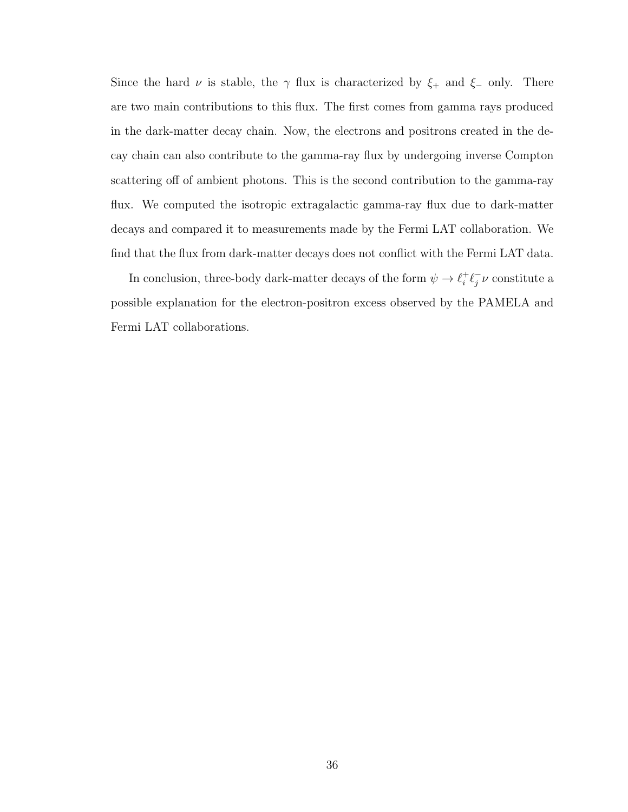Since the hard  $\nu$  is stable, the  $\gamma$  flux is characterized by  $\xi_+$  and  $\xi_-$  only. There are two main contributions to this flux. The first comes from gamma rays produced in the dark-matter decay chain. Now, the electrons and positrons created in the decay chain can also contribute to the gamma-ray flux by undergoing inverse Compton scattering off of ambient photons. This is the second contribution to the gamma-ray flux. We computed the isotropic extragalactic gamma-ray flux due to dark-matter decays and compared it to measurements made by the Fermi LAT collaboration. We find that the flux from dark-matter decays does not conflict with the Fermi LAT data.

In conclusion, three-body dark-matter decays of the form  $\psi \to \ell_i^+$  $i^+ \ell_j^ \bar{j}\nu$  constitute a possible explanation for the electron-positron excess observed by the PAMELA and Fermi LAT collaborations.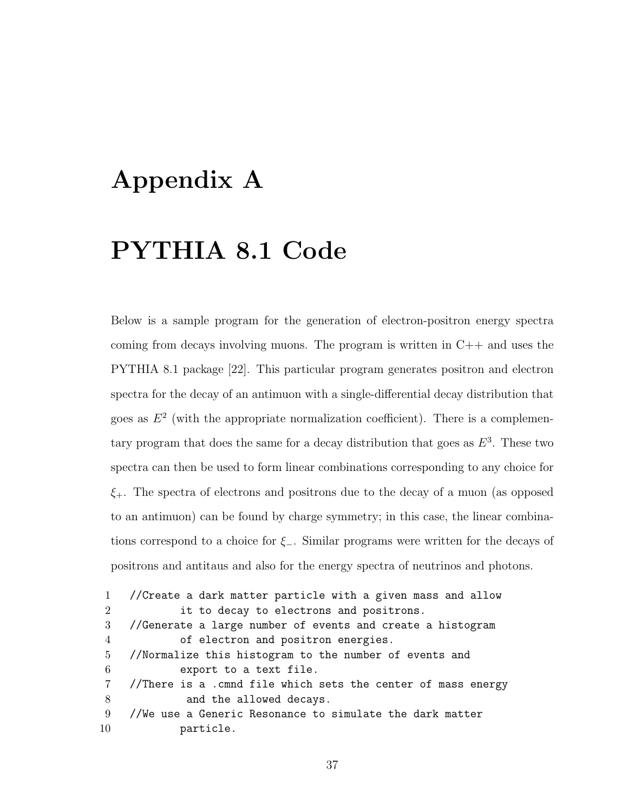### Appendix A

### PYTHIA 8.1 Code

Below is a sample program for the generation of electron-positron energy spectra coming from decays involving muons. The program is written in  $C++$  and uses the PYTHIA 8.1 package [22]. This particular program generates positron and electron spectra for the decay of an antimuon with a single-differential decay distribution that goes as  $E<sup>2</sup>$  (with the appropriate normalization coefficient). There is a complementary program that does the same for a decay distribution that goes as  $E^3$ . These two spectra can then be used to form linear combinations corresponding to any choice for  $\xi$ . The spectra of electrons and positrons due to the decay of a muon (as opposed to an antimuon) can be found by charge symmetry; in this case, the linear combinations correspond to a choice for  $\xi$ -. Similar programs were written for the decays of positrons and antitaus and also for the energy spectra of neutrinos and photons.

 //Create a dark matter particle with a given mass and allow it to decay to electrons and positrons. //Generate a large number of events and create a histogram of electron and positron energies. //Normalize this histogram to the number of events and export to a text file. //There is a .cmnd file which sets the center of mass energy 8 and the allowed decays. //We use a Generic Resonance to simulate the dark matter particle.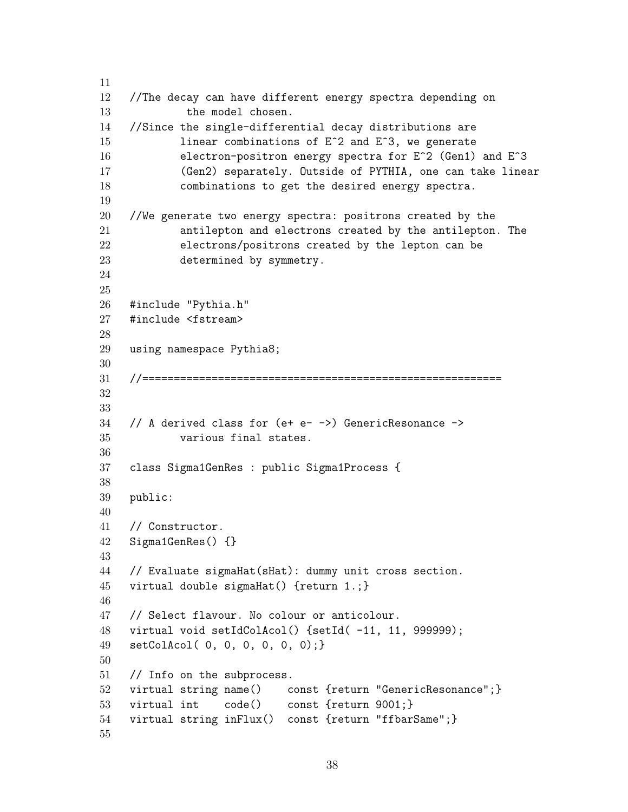```
11
12 //The decay can have different energy spectra depending on
13 the model chosen.
14 //Since the single-differential decay distributions are
15 11 linear combinations of E<sup>\textdegree2 and E\textdegree3, we generate</sup>
16 electron-positron energy spectra for E<sup>2</sup> (Gen1) and E<sup>3</sup>
17 (Gen2) separately. Outside of PYTHIA, one can take linear
18 combinations to get the desired energy spectra.
19
20 //We generate two energy spectra: positrons created by the
21 antilepton and electrons created by the antilepton. The
22 electrons/positrons created by the lepton can be
23 determined by symmetry.
24
25
26 #include "Pythia.h"
27 #include <fstream>
28
29 using namespace Pythia8;
30
31 //=========================================================
32
33
34 // A derived class for (e+ e- ->) GenericResonance ->
35 various final states.
36
37 class Sigma1GenRes : public Sigma1Process {
38
39 public:
40
41 // Constructor.
42 Sigma1GenRes() {}
43
44 // Evaluate sigmaHat(sHat): dummy unit cross section.
45 virtual double sigmaHat() {return 1.;}
46
47 // Select flavour. No colour or anticolour.
48 virtual void setIdColAcol() {setId( -11, 11, 999999);
49 setColAcol( 0, 0, 0, 0, 0, 0);}
50
51 // Info on the subprocess.
52 virtual string name() const {return "GenericResonance";}
53 virtual int code() const {return 9001;}
54 virtual string inFlux() const {return "ffbarSame";}
55
```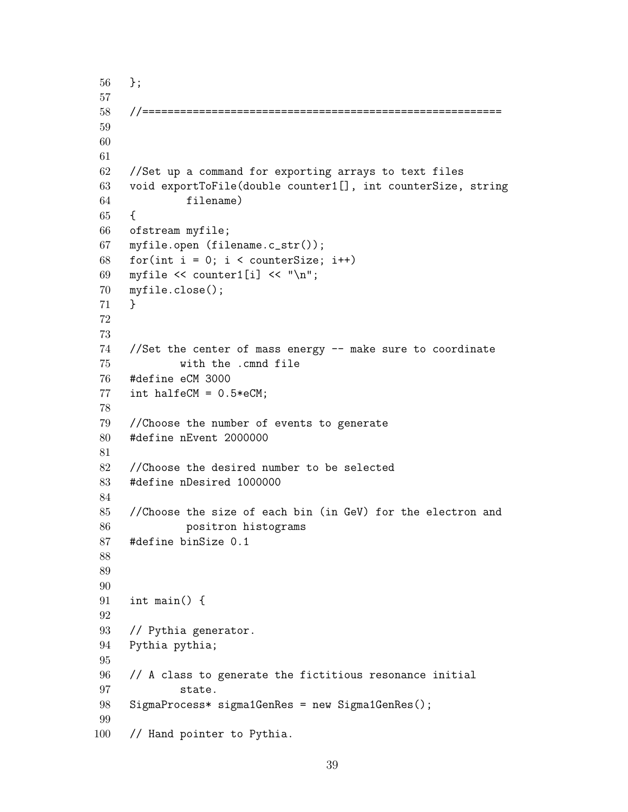```
56 };
57
58 //=========================================================
59
60
61
62 //Set up a command for exporting arrays to text files
63 void exportToFile(double counter1[], int counterSize, string
64 filename)
65 {
66 ofstream myfile;
67 myfile.open (filename.c_str());
68 for(int i = 0; i < counterSize; i++)
69 myfile \lt\lt counter1[i] \lt\lt "\n";
70 myfile.close();
71 }
72
73
74 //Set the center of mass energy -- make sure to coordinate
75 with the .cmnd file
76 #define eCM 3000
77 int halfeCM = 0.5*eCM;
78
79 //Choose the number of events to generate
80 #define nEvent 2000000
81
82 //Choose the desired number to be selected
83 #define nDesired 1000000
84
85 //Choose the size of each bin (in GeV) for the electron and
86 positron histograms
87 #define binSize 0.1
88
89
90
91 int main() {
92
93 // Pythia generator.
94 Pythia pythia;
95
96 // A class to generate the fictitious resonance initial
97 state.
98 SigmaProcess* sigma1GenRes = new Sigma1GenRes();
99
100 // Hand pointer to Pythia.
```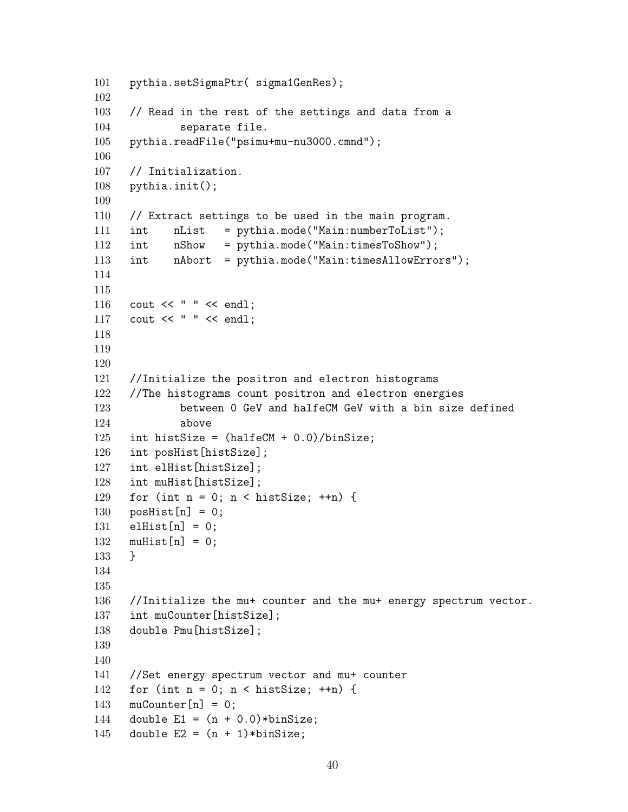```
101 pythia.setSigmaPtr( sigma1GenRes);
102
103 // Read in the rest of the settings and data from a
104 separate file.
105 pythia.readFile("psimu+mu-nu3000.cmnd");
106
107 // Initialization.
108 pythia.init();
109
110 // Extract settings to be used in the main program.
111 int nList = pythia.mode("Main:numberToList");
112 int nShow = pythia.mode("Main:timesToShow");
113 int nAbort = pythia.mode("Main:timesAllowErrors");
114
115
116 cout << " " << endl;
117 cout << " " << endl;
118
119
120
121 //Initialize the positron and electron histograms
122 //The histograms count positron and electron energies
123 between 0 GeV and halfeCM GeV with a bin size defined
124 above
125 int histSize = (halfeCM + 0.0)/binSize;
126 int posHist[histSize];
127 int elHist[histSize];
128 int muHist[histSize];
129 for (int n = 0; n < histSize; +n) {
130 posHist[n] = 0;
131 elHist[n] = 0;
132 muHist[n] = 0;133 }
134
135
136 //Initialize the mu+ counter and the mu+ energy spectrum vector.
137 int muCounter[histSize];
138 double Pmu[histSize];
139
140
141 //Set energy spectrum vector and mu+ counter
142 for (int n = 0; n < histSize; +n) {
143 muCounter[n] = 0;
144 double E1 = (n + 0.0)*binSize;145 double E2 = (n + 1)*binSize;
```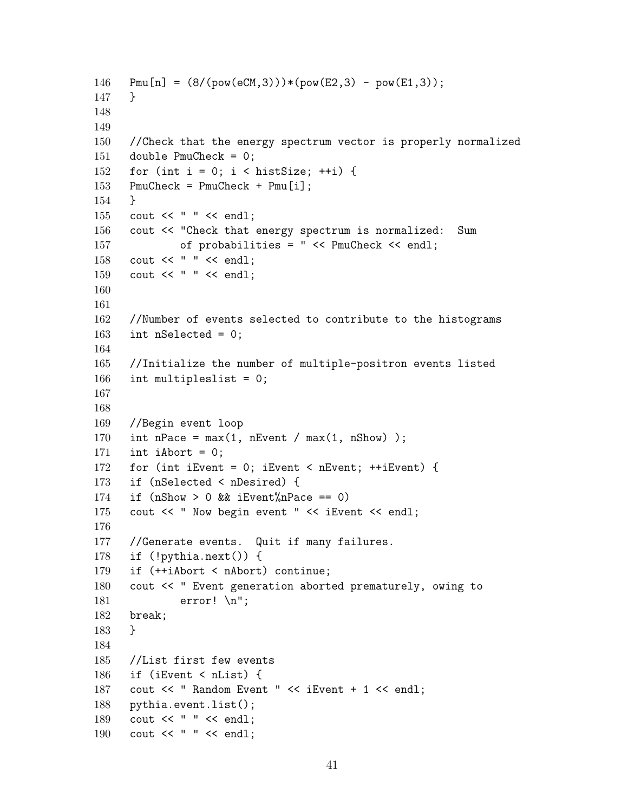```
146 Pmu[n] = (8/(pow(eCM,3)))*(pow(E2,3) - pow(E1,3));147 }
148
149
150 //Check that the energy spectrum vector is properly normalized
151 double PmuCheck = 0;
152 for (int i = 0; i < histSize; ++i) {
153 PmuCheck = PmuCheck + Pmu[i];
154 }
155 cout << " " << endl;
156 cout << "Check that energy spectrum is normalized: Sum
157 of probabilities = " << PmuCheck << endl;
158 cout << " " << endl;
159 cout << " " << endl;
160
161
162 //Number of events selected to contribute to the histograms
163 int nSelected = 0;
164
165 //Initialize the number of multiple-positron events listed
166 int multipleslist = 0;
167
168
169 //Begin event loop
170 int nPace = max(1, nEvent / max(1, nShow));
171 int iAbort = 0;
172 for (int iEvent = 0; iEvent < nEvent; ++iEvent) {
173 if (nSelected < nDesired) {
174 if (nShow > 0 & k iEvent%nPace == 0)
175 cout << " Now begin event " << iEvent << endl;
176
177 //Generate events. Quit if many failures.
178 if (!pythia.next()) {
179 if (++iAbort < nAbort) continue;
180 cout << " Event generation aborted prematurely, owing to
181 error! \n";
182 break;
183 }
184
185 //List first few events
186 if (iEvent < nList) {
187 cout << " Random Event " << iEvent + 1 << endl;
188 pythia.event.list();
189 cout << " " << endl;
190 cout << " " << endl;
```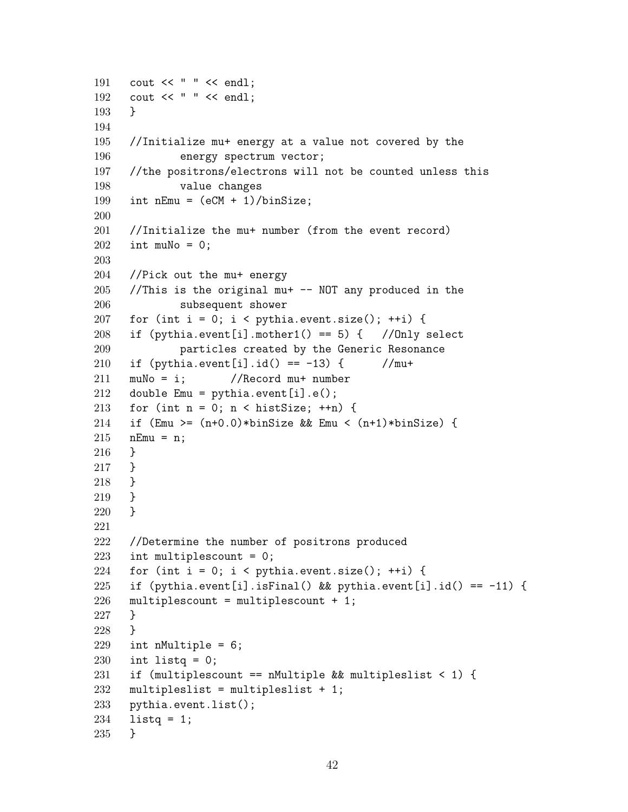```
191 cout << " " << endl;
192 cout << " " << endl;
193 }
194
195 //Initialize mu+ energy at a value not covered by the
196 energy spectrum vector;
197 //the positrons/electrons will not be counted unless this
198 value changes
199 int nEmu = (eCM + 1)/binSize;200
201 //Initialize the mu+ number (from the event record)
202 int muNo = 0;
203
204 //Pick out the mu+ energy
205 //This is the original mu+ -- NOT any produced in the
206 subsequent shower
207 for (int i = 0; i < pythia.event.size(); ++i) {
208 if (pythia.event[i].mother1() == 5) { //Only select
209 particles created by the Generic Resonance
210 if (pythia.event[i].id() == -13) { //mu+211 muNo = i; //Record mu+ number
212 double Emu = pythia.event[i] . e();
213 for (int n = 0; n < histSize; +n) {
214 if (Emu >= (n+0.0)*binSize && Emu < (n+1)*binSize) {
215 nEmu = n;
216 }
217 }
218 }
219 }
220 }
221
222 //Determine the number of positrons produced
223 int multiplescount = 0;
224 for (int i = 0; i < pythia.event.size(); ++i) {
225 if (pythia.event[i].isFinal() && pythia.event[i].id() == -11) {
226 multiplescount = multiplescount + 1;
227 }
228 }
229 int nMultiple = 6;
230 int listq = 0;
231 if (multiplescount == nMultiple && multipleslist < 1) {
232 multipleslist = multipleslist + 1;
233 pythia.event.list();
234 listq = 1;
235 }
```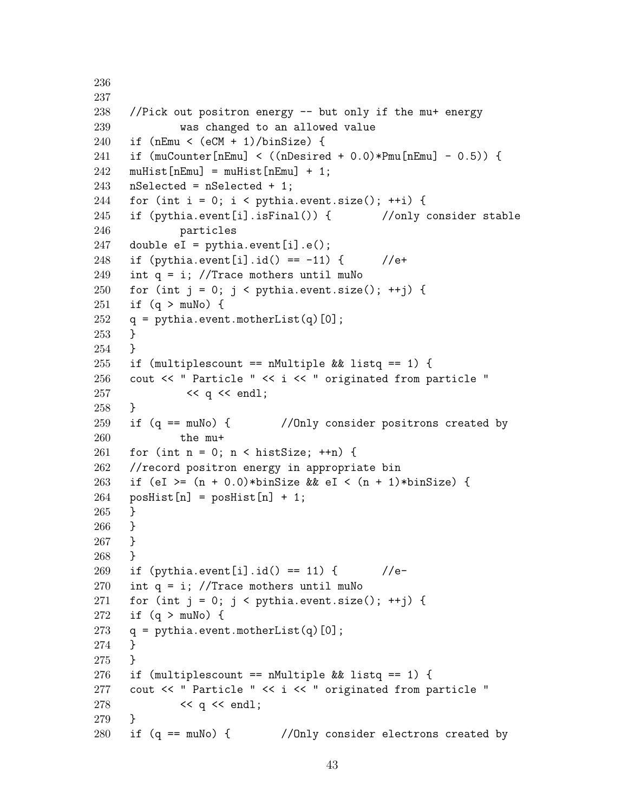```
237
238 //Pick out positron energy -- but only if the mu+ energy
239 was changed to an allowed value
240 if (nEmu < (eCM + 1)/binSize) {
241 if (muCounter[nEmu] < ((nDesired + 0.0)*Pmu[nEmu] - 0.5)) {
242 muHist [nEmu] = muHist [nEmu] + 1;
243 nSelected = nSelected + 1;
244 for (int i = 0; i < pythia.event.size(); ++i) {
245 if (pythia.event[i].isFinal()) { //only consider stable
246 particles
247 double eI = pythia.event[i].e();
248 if (pvthia.event[i].id() == -11) {249 int q = i; //Trace mothers until muNo
250 for (int j = 0; j < pythia.event.size(); ++j) {
251 if (q > muNo) {
252 q = pythia.event.motherList(q)[0];
253 }
254 }
255 if (multiplescount == nMultiple && listq == 1) {
256 cout << " Particle " << i << " originated from particle "
257 << q << endl;
258 }
259 if (q == muNo) { //Only consider positrons created by
260 the mu+
261 for (int n = 0; n < histSize; +n) {
262 //record positron energy in appropriate bin
263 if (eI >= (n + 0.0)*binSize& eI < (n + 1)*binSize {
264 posHist[n] = posHist[n] + 1;
265 }
266 }
267 }
268 }
269 if (pythia.event[i].id() == 11) { //e-270 int q = i; //Trace mothers until muNo
271 for (int j = 0; j < pythia.event.size(); ++j) {
272 if (q > muNo) {
273 q = pythia.event.motherList(q)[0];
274 }
275 }
276 if (multiplescount == nMultiple && listq == 1) {
277 cout << " Particle " << i << " originated from particle "
278 << q << endl;
279 }
280 if (q == muNo) { //Only consider electrons created by
```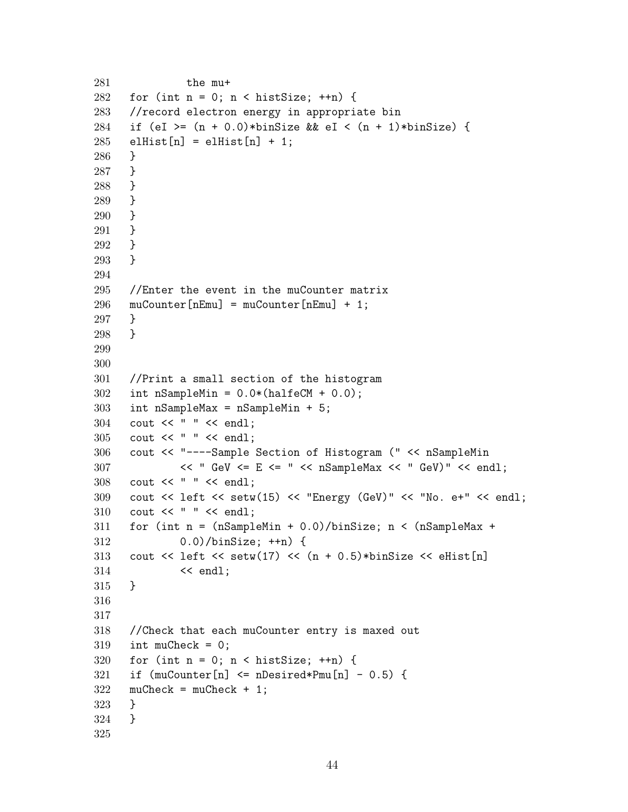```
281 the mu+
282 for (int n = 0; n < histSize; ++n) {
283 //record electron energy in appropriate bin
284 if (eI >= (n + 0.0)*binSize&& eI < (n + 1)*binSize) {
285 elHist[n] = elHist[n] + 1;
286 }
287 }
288 }
289 }
290 }
291 }
292 }
293 }
294
295 //Enter the event in the muCounter matrix
296 muCounter [nEmu] = muCounter [nEmu] + 1;
297 }
298 }
299
300
301 //Print a small section of the histogram
302 int nSampleMin = 0.0*(\text{halfeCM} + 0.0);303 int nSampleMax = nSampleMin + 5;
304 cout << " " << endl;
305 cout << " " << endl;
306 cout << "----Sample Section of Histogram (" << nSampleMin
307 << " GeV <= E <= " << nSampleMax << " GeV)" << end1;
308 cout << " " << endl;
309 cout << left << setw(15) << "Energy (GeV)" << "No. e+" << endl;
310 cout << " " << endl;
311 for (int n = (nSampleMin + 0.0)/binSize; n < (nSampleMax +312 0.0)/binSize; ++n) {
313 cout \leq left \leq setw(17) \leq (n + 0.5)*binSize \leq eHist[n]
314 << endl;
315 }
316
317
318 //Check that each muCounter entry is maxed out
319 int muCheck = 0;
320 for (int n = 0; n < histSize; +n) {
321 if (muCounter[n] <= nDesired*Pmu[n] - 0.5) {
322 muCheck = muCheck + 1;
323 }
324 }
325
```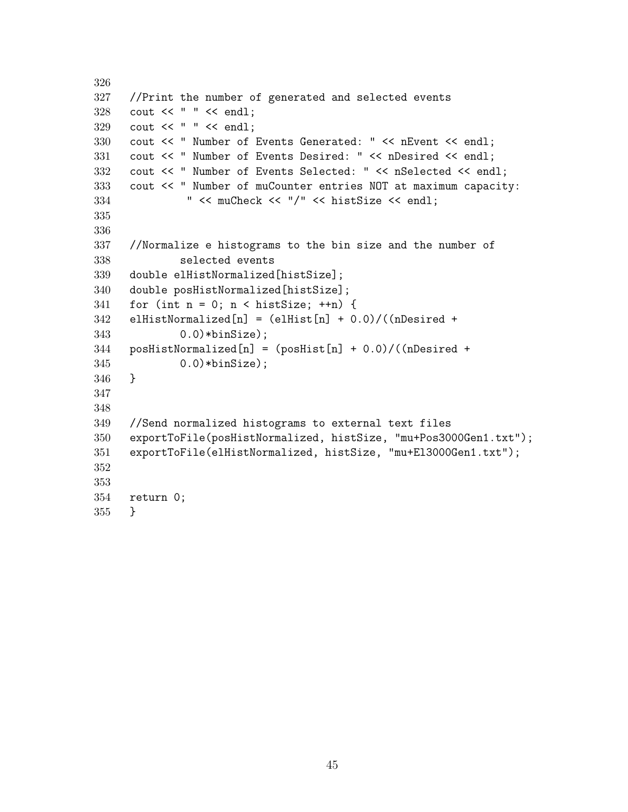```
326
327 //Print the number of generated and selected events
328 cout << " " << endl;
329 cout << " " << endl;
330 cout << " Number of Events Generated: " << nEvent << endl;
331 cout << " Number of Events Desired: " << nDesired << endl;
332 cout << " Number of Events Selected: " << nSelected << endl;
333 cout << " Number of muCounter entries NOT at maximum capacity:
334 " << muCheck << "/" << histSize << endl;
335
336
337 //Normalize e histograms to the bin size and the number of
338 selected events
339 double elHistNormalized[histSize];
340 double posHistNormalized[histSize];
341 for (int n = 0; n < histSize; +n) {
342 elHistNormalized[n] = (elHist[n] + 0.0)/((nDesired +
343 0.0)*binSize);
344 posHistNormalized[n] = (posHist[n] + 0.0)/((nDesired +345 0.0)*binSize);
346 }
347
348
349 //Send normalized histograms to external text files
350 exportToFile(posHistNormalized, histSize, "mu+Pos3000Gen1.txt");
351 exportToFile(elHistNormalized, histSize, "mu+El3000Gen1.txt");
352
353
354 return 0;
355 }
```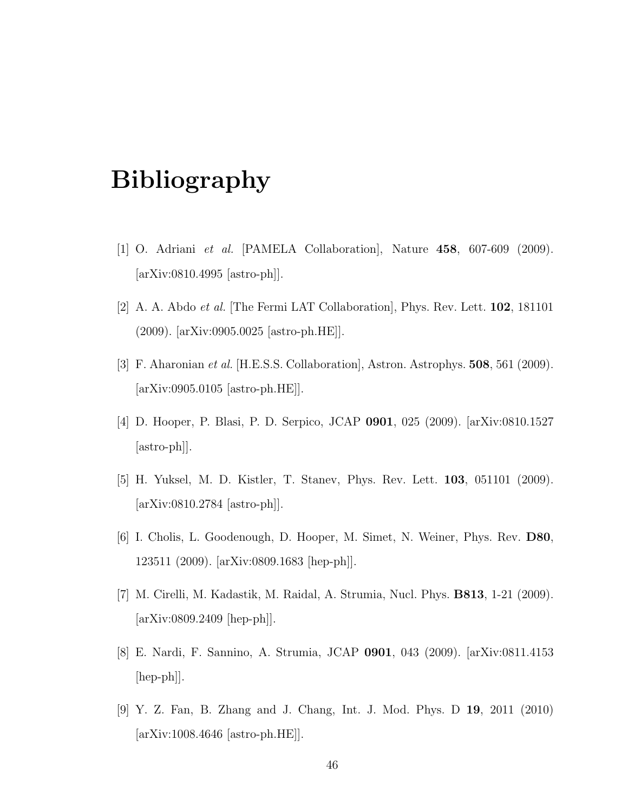### Bibliography

- [1] O. Adriani et al. [PAMELA Collaboration], Nature 458, 607-609 (2009). [arXiv:0810.4995 [astro-ph]].
- [2] A. A. Abdo *et al.* [The Fermi LAT Collaboration], Phys. Rev. Lett.  $102$ , 181101 (2009). [arXiv:0905.0025 [astro-ph.HE]].
- [3] F. Aharonian et al. [H.E.S.S. Collaboration], Astron. Astrophys. 508, 561 (2009). [arXiv:0905.0105 [astro-ph.HE]].
- [4] D. Hooper, P. Blasi, P. D. Serpico, JCAP 0901, 025 (2009). [arXiv:0810.1527 [astro-ph]].
- [5] H. Yuksel, M. D. Kistler, T. Stanev, Phys. Rev. Lett. 103, 051101 (2009). [arXiv:0810.2784 [astro-ph]].
- [6] I. Cholis, L. Goodenough, D. Hooper, M. Simet, N. Weiner, Phys. Rev. D80, 123511 (2009). [arXiv:0809.1683 [hep-ph]].
- [7] M. Cirelli, M. Kadastik, M. Raidal, A. Strumia, Nucl. Phys. B813, 1-21 (2009). [arXiv:0809.2409 [hep-ph]].
- [8] E. Nardi, F. Sannino, A. Strumia, JCAP 0901, 043 (2009). [arXiv:0811.4153 [hep-ph]].
- [9] Y. Z. Fan, B. Zhang and J. Chang, Int. J. Mod. Phys. D 19, 2011 (2010) [arXiv:1008.4646 [astro-ph.HE]].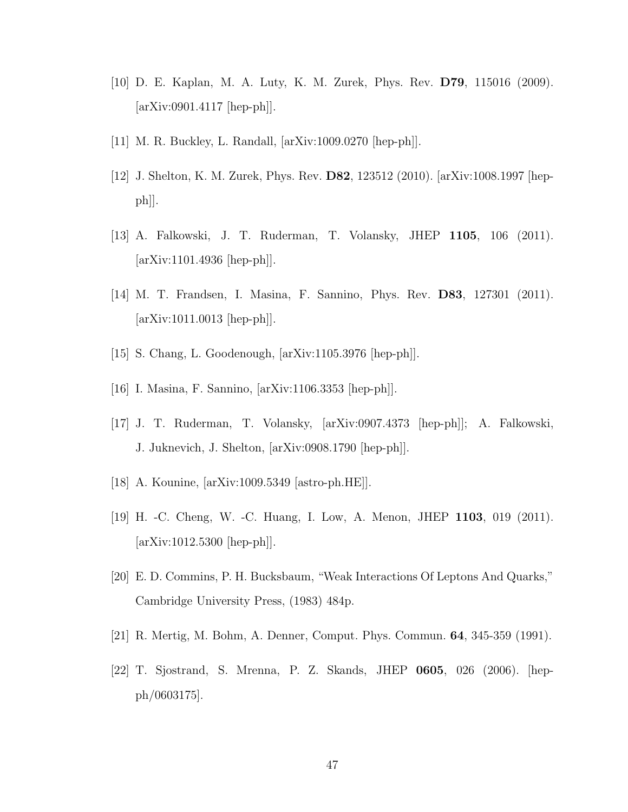- [10] D. E. Kaplan, M. A. Luty, K. M. Zurek, Phys. Rev. D79, 115016 (2009). [arXiv:0901.4117 [hep-ph]].
- [11] M. R. Buckley, L. Randall, [arXiv:1009.0270 [hep-ph]].
- [12] J. Shelton, K. M. Zurek, Phys. Rev. D82, 123512 (2010). [arXiv:1008.1997 [hep $ph$ .
- [13] A. Falkowski, J. T. Ruderman, T. Volansky, JHEP 1105, 106 (2011). [arXiv:1101.4936 [hep-ph]].
- [14] M. T. Frandsen, I. Masina, F. Sannino, Phys. Rev. D83, 127301 (2011).  $\arXiv:1011.0013$   $\vert \text{hep-ph} \vert \vert$ .
- [15] S. Chang, L. Goodenough, [arXiv:1105.3976 [hep-ph]].
- [16] I. Masina, F. Sannino, [arXiv:1106.3353 [hep-ph]].
- [17] J. T. Ruderman, T. Volansky, [arXiv:0907.4373 [hep-ph]]; A. Falkowski, J. Juknevich, J. Shelton, [arXiv:0908.1790 [hep-ph]].
- [18] A. Kounine, [arXiv:1009.5349 [astro-ph.HE]].
- [19] H. -C. Cheng, W. -C. Huang, I. Low, A. Menon, JHEP 1103, 019 (2011). [arXiv:1012.5300 [hep-ph]].
- [20] E. D. Commins, P. H. Bucksbaum, "Weak Interactions Of Leptons And Quarks," Cambridge University Press, (1983) 484p.
- [21] R. Mertig, M. Bohm, A. Denner, Comput. Phys. Commun. 64, 345-359 (1991).
- [22] T. Sjostrand, S. Mrenna, P. Z. Skands, JHEP 0605, 026 (2006). [hepph/0603175].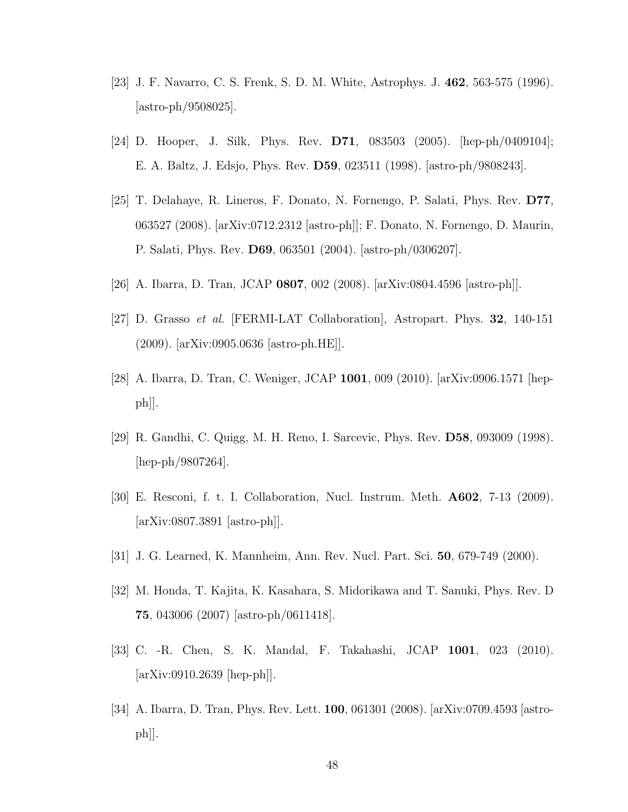- [23] J. F. Navarro, C. S. Frenk, S. D. M. White, Astrophys. J. 462, 563-575 (1996). [astro-ph/9508025].
- [24] D. Hooper, J. Silk, Phys. Rev. D71, 083503 (2005). [hep-ph/0409104]; E. A. Baltz, J. Edsjo, Phys. Rev. D59, 023511 (1998). [astro-ph/9808243].
- [25] T. Delahaye, R. Lineros, F. Donato, N. Fornengo, P. Salati, Phys. Rev. D77, 063527 (2008). [arXiv:0712.2312 [astro-ph]]; F. Donato, N. Fornengo, D. Maurin, P. Salati, Phys. Rev. D69, 063501 (2004). [astro-ph/0306207].
- [26] A. Ibarra, D. Tran, JCAP 0807, 002 (2008). [arXiv:0804.4596 [astro-ph]].
- [27] D. Grasso et al. [FERMI-LAT Collaboration], Astropart. Phys. 32, 140-151 (2009). [arXiv:0905.0636 [astro-ph.HE]].
- [28] A. Ibarra, D. Tran, C. Weniger, JCAP 1001, 009 (2010). [arXiv:0906.1571 [hep $ph$ .
- [29] R. Gandhi, C. Quigg, M. H. Reno, I. Sarcevic, Phys. Rev. D58, 093009 (1998). [hep-ph/9807264].
- [30] E. Resconi, f. t. I. Collaboration, Nucl. Instrum. Meth. A602, 7-13 (2009). [arXiv:0807.3891 [astro-ph]].
- [31] J. G. Learned, K. Mannheim, Ann. Rev. Nucl. Part. Sci. 50, 679-749 (2000).
- [32] M. Honda, T. Kajita, K. Kasahara, S. Midorikawa and T. Sanuki, Phys. Rev. D 75, 043006 (2007) [astro-ph/0611418].
- [33] C. -R. Chen, S. K. Mandal, F. Takahashi, JCAP 1001, 023 (2010). [arXiv:0910.2639 [hep-ph]].
- [34] A. Ibarra, D. Tran, Phys. Rev. Lett. 100, 061301 (2008). [arXiv:0709.4593 [astroph]].